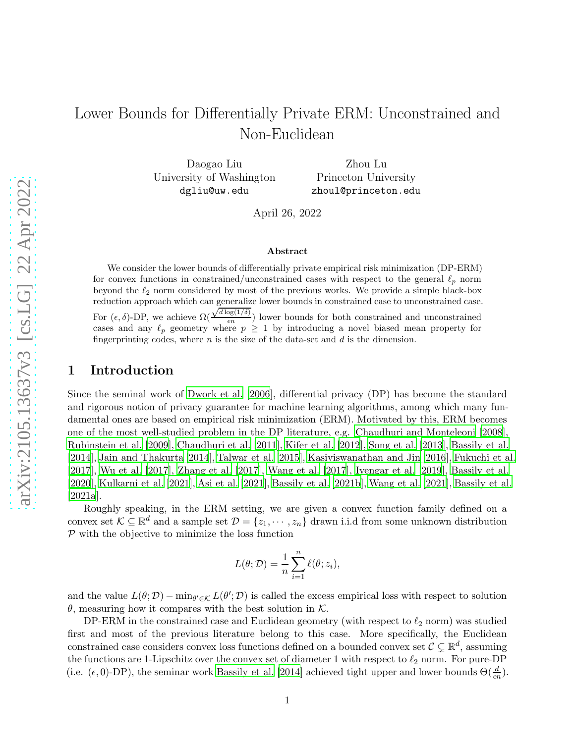# Lower Bounds for Differentially Private ERM: Unconstrained and Non-Euclidean

Daogao Liu University of Washington dgliu@uw.edu

Zhou Lu Princeton University zhoul@princeton.edu

April 26, 2022

#### Abstract

We consider the lower bounds of differentially private empirical risk minimization (DP-ERM) for convex functions in constrained/unconstrained cases with respect to the general  $\ell_p$  norm beyond the  $\ell_2$  norm considered by most of the previous works. We provide a simple black-box reduction approach which can generalize lower bounds in constrained case to unconstrained case. For  $(\epsilon, \delta)$ -DP, we achieve  $\Omega$  $\sqrt{d \log(1/\delta)}$  $\frac{\log(1/\theta)}{\epsilon n}$ ) lower bounds for both constrained and unconstrained cases and any  $\ell_p$  geometry where  $p \geq 1$  by introducing a novel biased mean property for fingerprinting codes, where  $n$  is the size of the data-set and  $d$  is the dimension.

# <span id="page-0-0"></span>1 Introduction

Since the seminal work of [Dwork et al. \[2006\]](#page-13-0), differential privacy (DP) has become the standard and rigorous notion of privacy guarantee for machine learning algorithms, among which many fundamental ones are based on empirical risk minimization (ERM). Motivated by this, ERM becomes one of the most well-studied problem in the DP literature, e.g. [Chaudhuri and Monteleoni \[2008](#page-12-0)], [Rubinstein et al. \[2009](#page-13-1)], [Chaudhuri et al. \[2011\]](#page-12-1), [Kifer et al. \[2012\]](#page-13-2), [Song et al. \[2013](#page-13-3)], [Bassily et al.](#page-12-2) [\[2014\]](#page-12-2), [Jain and Thakurta \[2014](#page-13-4)], [Talwar et al. \[2015](#page-14-0)], [Kasiviswanathan and Jin \[2016](#page-13-5)], [Fukuchi et al.](#page-13-6) [\[2017\]](#page-13-6), [Wu et al. \[2017](#page-14-1)], [Zhang et al. \[2017](#page-14-2)], [Wang et al. \[2017\]](#page-14-3), [Iyengar et al. \[2019\]](#page-13-7), [Bassily et al.](#page-12-3) [\[2020\]](#page-12-3), [Kulkarni et al. \[2021](#page-13-8)], [Asi et al. \[2021](#page-12-4)], [Bassily et](#page-12-5) al. [\[2021b](#page-12-5)], [Wang et al. \[2021](#page-14-4)], [Bassily et al.](#page-12-6) [\[2021a](#page-12-6)].

Roughly speaking, in the ERM setting, we are given a convex function family defined on a convex set  $\mathcal{K} \subseteq \mathbb{R}^d$  and a sample set  $\mathcal{D} = \{z_1, \dots, z_n\}$  drawn i.i.d from some unknown distribution  $P$  with the objective to minimize the loss function

$$
L(\theta; \mathcal{D}) = \frac{1}{n} \sum_{i=1}^{n} \ell(\theta; z_i),
$$

and the value  $L(\theta; \mathcal{D}) - \min_{\theta' \in \mathcal{K}} L(\theta'; \mathcal{D})$  is called the excess empirical loss with respect to solution  $\theta$ , measuring how it compares with the best solution in  $K$ .

DP-ERM in the constrained case and Euclidean geometry (with respect to  $\ell_2$  norm) was studied first and most of the previous literature belong to this case. More specifically, the Euclidean constrained case considers convex loss functions defined on a bounded convex set  $\mathcal{C} \subsetneq \mathbb{R}^d$ , assuming the functions are 1-Lipschitz over the convex set of diameter 1 with respect to  $\ell_2$  norm. For pure-DP (i.e.  $(\epsilon, 0)$ -DP), the seminar work [Bassily et al. \[2014\]](#page-12-2) achieved tight upper and lower bounds  $\Theta(\frac{d}{\epsilon n})$ .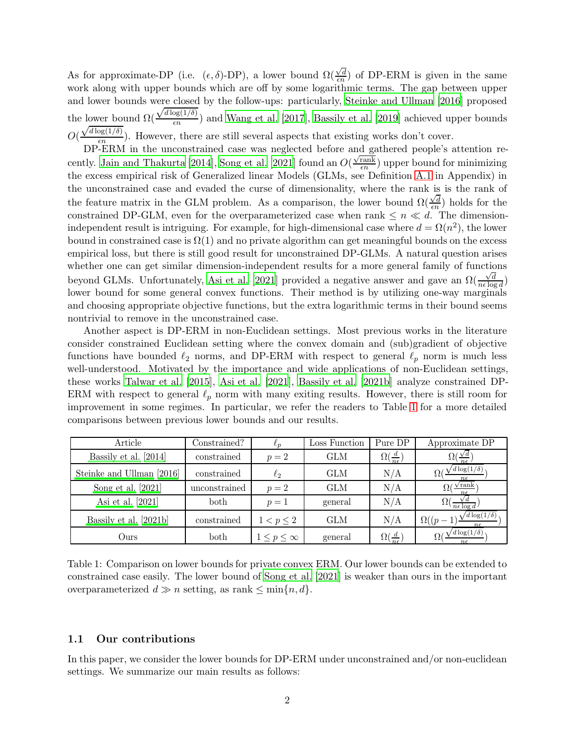As for approximate-DP (i.e.  $(\epsilon, \delta)$ -DP), a lower bound  $\Omega(\frac{\sqrt{d}}{\epsilon n})$  $\frac{\sqrt{d}}{\epsilon n}$  of DP-ERM is given in the same work along with upper bounds which are off by some logarithmic terms. The gap between upper and lower bounds were closed by the follow-ups: particularly, [Steinke and Ullman \[2016](#page-13-9)] proposed the lower bound  $\Omega$  $\sqrt{d \log(1/\delta)}$  $\frac{\log(1/\theta)}{\epsilon n}$  and [Wang et al. \[2017](#page-14-3)], [Bassily et al. \[2019](#page-12-7)] achieved upper bounds O(  $\sqrt{d \log(1/\delta)}$  $\frac{\log(1/\theta)}{\epsilon n}$ ). However, there are still several aspects that existing works don't cover.

DP-ERM in the unconstrained case was neglected before and gathered people's attention re-cently. [Jain and Thakurta \[2014\]](#page-13-4), [Song et al. \[2021](#page-13-10)] found an  $O(\frac{\sqrt{\text{rank}}}{\epsilon n})$  $\frac{\text{rank}}{\epsilon n}$ ) upper bound for minimizing the excess empirical risk of Generalized linear Models (GLMs, see Definition [A.1](#page-15-0) in Appendix) in the unconstrained case and evaded the curse of dimensionality, where the rank is is the rank of the feature matrix in the GLM problem. As a comparison, the lower bound  $\Omega(\frac{\sqrt{d}}{\epsilon n})$  $\frac{\sqrt{a}}{\epsilon n}$ ) holds for the constrained DP-GLM, even for the overparameterized case when rank  $\leq n \ll d$ . The dimensionindependent result is intriguing. For example, for high-dimensional case where  $d = \Omega(n^2)$ , the lower bound in constrained case is  $\Omega(1)$  and no private algorithm can get meaningful bounds on the excess empirical loss, but there is still good result for unconstrained DP-GLMs. A natural question arises whether one can get similar dimension-independent results for a more general family of functions beyond GLMs. Unfortunately, [Asi et al. \[2021](#page-12-4)] provided a negative answer and gave an  $\Omega(\frac{\sqrt{d}}{n\epsilon\log n})$  $\frac{\sqrt{d}}{n\epsilon\log d}$ lower bound for some general convex functions. Their method is by utilizing one-way marginals and choosing appropriate objective functions, but the extra logarithmic terms in their bound seems nontrivial to remove in the unconstrained case.

Another aspect is DP-ERM in non-Euclidean settings. Most previous works in the literature consider constrained Euclidean setting where the convex domain and (sub)gradient of objective functions have bounded  $\ell_2$  norms, and DP-ERM with respect to general  $\ell_p$  norm is much less well-understood. Motivated by the importance and wide applications of non-Euclidean settings, these works [Talwar et al. \[2015](#page-14-0)], [Asi et al. \[2021](#page-12-4)], [Bassily et al. \[2021b](#page-12-5)] analyze constrained DP-ERM with respect to general  $\ell_p$  norm with many exiting results. However, there is still room for improvement in some regimes. In particular, we refer the readers to Table [1](#page-0-0) for a more detailed comparisons between previous lower bounds and our results.

| Article                   | $\text{Constrained?}$ |                      | Loss Function | Pure DP                       | Approximate DP                           |
|---------------------------|-----------------------|----------------------|---------------|-------------------------------|------------------------------------------|
| Bassily et al. [2014]     | constrained           | $p=2$                | GLM           | $\Omega(\frac{a}{n\epsilon})$ | $\frac{\sqrt{a}}{n\epsilon}$<br>97       |
| Steinke and Ullman [2016] | constrained           | $\ell_2$             | GLM           | N/A                           | $\sqrt{d \log(1/\delta)}$<br>$n\epsilon$ |
| Song et al. [2021]        | unconstrained         | $p=2$                | GLM           | N/A                           | $\sqrt{\text{rank}}$<br>$n\epsilon$      |
| Asi et al. [2021]         | both                  | $p=1$                | general       | N/A                           | $\frac{1}{n\epsilon\log d}$              |
| Bassily et al. [2021b]    | constrained           | $1 < p \leq 2$       | GLM           | N/A                           | $'d \log(1/\delta)$<br>$\Omega((p -$     |
| Ours                      | both                  | $1\leq p\leq \infty$ | general       | $\Omega(\frac{d}{n\epsilon})$ | $d \log(1/\delta)$<br>$n \epsilon$       |

Table 1: Comparison on lower bounds for private convex ERM. Our lower bounds can be extended to constrained case easily. The lower bound of [Song et al. \[2021](#page-13-10)] is weaker than ours in the important overparameterized  $d \gg n$  setting, as rank  $\leq \min\{n, d\}.$ 

### 1.1 Our contributions

In this paper, we consider the lower bounds for DP-ERM under unconstrained and/or non-euclidean settings. We summarize our main results as follows: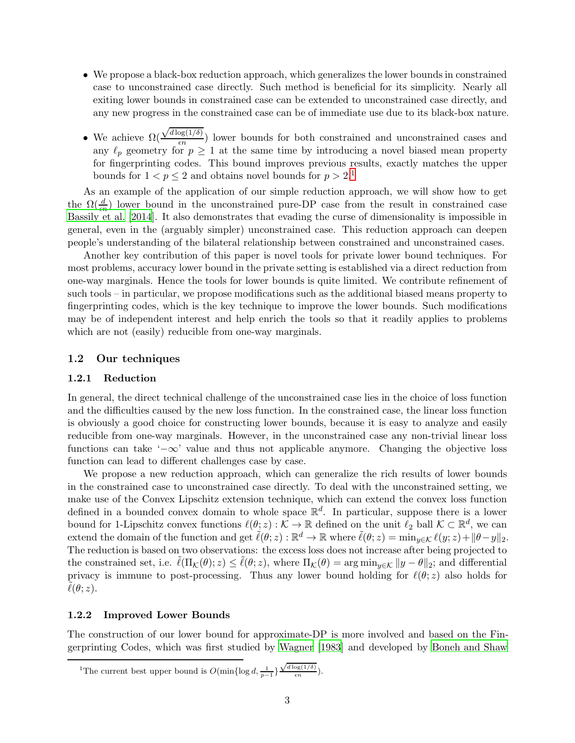- We propose a black-box reduction approach, which generalizes the lower bounds in constrained case to unconstrained case directly. Such method is beneficial for its simplicity. Nearly all exiting lower bounds in constrained case can be extended to unconstrained case directly, and any new progress in the constrained case can be of immediate use due to its black-box nature.
- We achieve  $\Omega(\frac{\sqrt{d \log(1/\delta)}}{\epsilon n})$  $\frac{\log(1/\theta)}{\epsilon n}$  lower bounds for both constrained and unconstrained cases and any  $\ell_p$  geometry for  $p \geq 1$  at the same time by introducing a novel biased mean property for fingerprinting codes. This bound improves previous results, exactly matches the upper bounds for  $1 < p \leq 2$  $1 < p \leq 2$  and obtains novel bounds for  $p > 2.1$

As an example of the application of our simple reduction approach, we will show how to get the  $\Omega(\frac{d}{\epsilon n})$  lower bound in the unconstrained pure-DP case from the result in constrained case [Bassily et al. \[2014\]](#page-12-2). It also demonstrates that evading the curse of dimensionality is impossible in general, even in the (arguably simpler) unconstrained case. This reduction approach can deepen people's understanding of the bilateral relationship between constrained and unconstrained cases.

Another key contribution of this paper is novel tools for private lower bound techniques. For most problems, accuracy lower bound in the private setting is established via a direct reduction from one-way marginals. Hence the tools for lower bounds is quite limited. We contribute refinement of such tools – in particular, we propose modifications such as the additional biased means property to fingerprinting codes, which is the key technique to improve the lower bounds. Such modifications may be of independent interest and help enrich the tools so that it readily applies to problems which are not (easily) reducible from one-way marginals.

### 1.2 Our techniques

### 1.2.1 Reduction

In general, the direct technical challenge of the unconstrained case lies in the choice of loss function and the difficulties caused by the new loss function. In the constrained case, the linear loss function is obviously a good choice for constructing lower bounds, because it is easy to analyze and easily reducible from one-way marginals. However, in the unconstrained case any non-trivial linear loss functions can take '−∞' value and thus not applicable anymore. Changing the objective loss function can lead to different challenges case by case.

We propose a new reduction approach, which can generalize the rich results of lower bounds in the constrained case to unconstrained case directly. To deal with the unconstrained setting, we make use of the Convex Lipschitz extension technique, which can extend the convex loss function defined in a bounded convex domain to whole space  $\mathbb{R}^d$ . In particular, suppose there is a lower bound for 1-Lipschitz convex functions  $\ell(\theta; z) : \mathcal{K} \to \mathbb{R}$  defined on the unit  $\ell_2$  ball  $\mathcal{K} \subset \mathbb{R}^d$ , we can extend the domain of the function and get  $\tilde{\ell}(\theta; z) : \mathbb{R}^d \to \mathbb{R}$  where  $\tilde{\ell}(\theta; z) = \min_{y \in \mathcal{K}} \ell(y; z) + ||\theta - y||_2$ . The reduction is based on two observations: the excess loss does not increase after being projected to the constrained set, i.e.  $\tilde{\ell}(\Pi_{\mathcal{K}}(\theta); z) \leq \tilde{\ell}(\theta; z)$ , where  $\Pi_{\mathcal{K}}(\theta) = \arg \min_{y \in \mathcal{K}} \|y - \theta\|_2$ ; and differential privacy is immune to post-processing. Thus any lower bound holding for  $\ell(\theta; z)$  also holds for  $\ell(\theta;z)$ .

### 1.2.2 Improved Lower Bounds

The construction of our lower bound for approximate-DP is more involved and based on the Fingerprinting Codes, which was first studied by [Wagner \[1983](#page-14-5)] and developed by [Boneh and Shaw](#page-12-8)

<span id="page-2-0"></span><sup>&</sup>lt;sup>1</sup>The current best upper bound is  $O(\min\{\log d, \frac{1}{p-1}\})$  $\sqrt{d \log(1/\delta)}$  $\frac{\log(1/\theta)}{\epsilon n}$ ).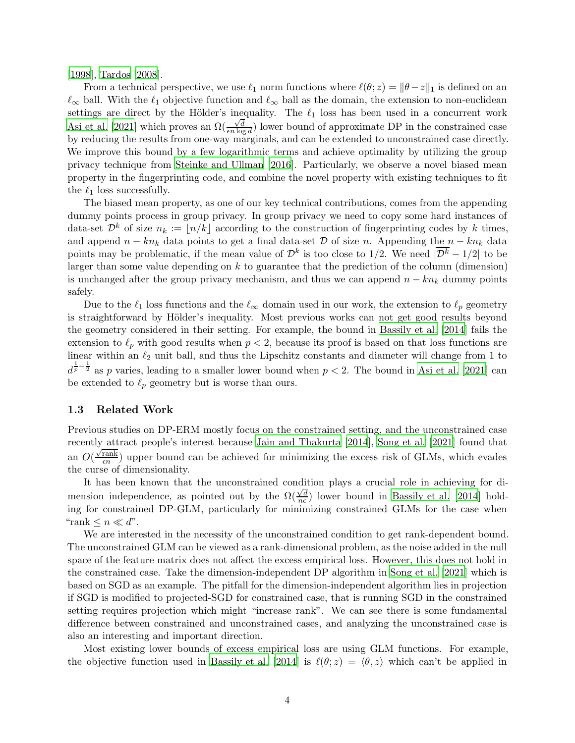[\[1998\]](#page-12-8), [Tardos \[2008](#page-14-6)].

From a technical perspective, we use  $\ell_1$  norm functions where  $\ell(\theta; z) = ||\theta - z||_1$  is defined on an  $\ell_{\infty}$  ball. With the  $\ell_1$  objective function and  $\ell_{\infty}$  ball as the domain, the extension to non-euclidean settings are direct by the Hölder's inequality. The  $\ell_1$  loss has been used in a concurrent work [Asi et al. \[2021](#page-12-4)] which proves an  $\Omega(\frac{\sqrt{d}}{\epsilon n \log n})$  $\frac{\sqrt{d}}{\epsilon n \log d}$  lower bound of approximate DP in the constrained case by reducing the results from one-way marginals, and can be extended to unconstrained case directly. We improve this bound by a few logarithmic terms and achieve optimality by utilizing the group privacy technique from [Steinke and Ullman \[2016](#page-13-9)]. Particularly, we observe a novel biased mean property in the fingerprinting code, and combine the novel property with existing techniques to fit the  $\ell_1$  loss successfully.

The biased mean property, as one of our key technical contributions, comes from the appending dummy points process in group privacy. In group privacy we need to copy some hard instances of data-set  $\mathcal{D}^k$  of size  $n_k := |n/k|$  according to the construction of fingerprinting codes by k times, and append  $n - kn_k$  data points to get a final data-set  $D$  of size n. Appending the  $n - kn_k$  data points may be problematic, if the mean value of  $\mathcal{D}^k$  is too close to 1/2. We need  $|\overline{\mathcal{D}^k} - 1/2|$  to be larger than some value depending on  $k$  to guarantee that the prediction of the column (dimension) is unchanged after the group privacy mechanism, and thus we can append  $n - kn_k$  dummy points safely.

Due to the  $\ell_1$  loss functions and the  $\ell_{\infty}$  domain used in our work, the extension to  $\ell_p$  geometry is straightforward by Hölder's inequality. Most previous works can not get good results beyond the geometry considered in their setting. For example, the bound in [Bassily et al. \[2014\]](#page-12-2) fails the extension to  $\ell_p$  with good results when  $p < 2$ , because its proof is based on that loss functions are linear within an  $\ell_2$  unit ball, and thus the Lipschitz constants and diameter will change from 1 to  $d^{\frac{1}{p}-\frac{1}{2}}$  as p varies, leading to a smaller lower bound when  $p < 2$ . The bound in [Asi et al. \[2021](#page-12-4)] can be extended to  $\ell_p$  geometry but is worse than ours.

### 1.3 Related Work

Previous studies on DP-ERM mostly focus on the constrained setting, and the unconstrained case recently attract people's interest because [Jain and Thakurta \[2014](#page-13-4)], [Song et al. \[2021](#page-13-10)] found that an  $O(\frac{\sqrt{\text{rank}}}{\epsilon n})$  $\frac{\text{rank}}{\epsilon n}$ ) upper bound can be achieved for minimizing the excess risk of GLMs, which evades the curse of dimensionality.

It has been known that the unconstrained condition plays a crucial role in achieving for dimension independence, as pointed out by the  $\Omega(\frac{\sqrt{d}}{n\epsilon})$  $\frac{\sqrt{d}}{n\epsilon}$ ) lower bound in [Bassily et al. \[2014](#page-12-2)] holding for constrained DP-GLM, particularly for minimizing constrained GLMs for the case when "rank  $\leq n \ll d$ ".

We are interested in the necessity of the unconstrained condition to get rank-dependent bound. The unconstrained GLM can be viewed as a rank-dimensional problem, as the noise added in the null space of the feature matrix does not affect the excess empirical loss. However, this does not hold in the constrained case. Take the dimension-independent DP algorithm in [Song et al. \[2021\]](#page-13-10) which is based on SGD as an example. The pitfall for the dimension-independent algorithm lies in projection if SGD is modified to projected-SGD for constrained case, that is running SGD in the constrained setting requires projection which might "increase rank". We can see there is some fundamental difference between constrained and unconstrained cases, and analyzing the unconstrained case is also an interesting and important direction.

Most existing lower bounds of excess empirical loss are using GLM functions. For example, the objective function used in [Bassily et al. \[2014\]](#page-12-2) is  $\ell(\theta; z) = \langle \theta, z \rangle$  which can't be applied in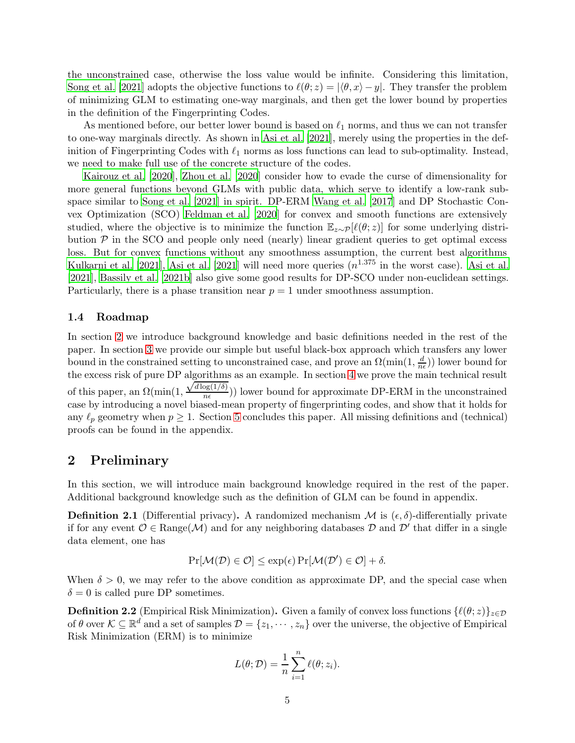the unconstrained case, otherwise the loss value would be infinite. Considering this limitation, [Song et al. \[2021\]](#page-13-10) adopts the objective functions to  $\ell(\theta; z) = |\langle \theta, x \rangle - y|$ . They transfer the problem of minimizing GLM to estimating one-way marginals, and then get the lower bound by properties in the definition of the Fingerprinting Codes.

As mentioned before, our better lower bound is based on  $\ell_1$  norms, and thus we can not transfer to one-way marginals directly. As shown in [Asi et al. \[2021](#page-12-4)], merely using the properties in the definition of Fingerprinting Codes with  $\ell_1$  norms as loss functions can lead to sub-optimality. Instead, we need to make full use of the concrete structure of the codes.

[Kairouz et al. \[2020](#page-13-11)], [Zhou et al. \[2020\]](#page-14-7) consider how to evade the curse of dimensionality for more general functions beyond GLMs with public data, which serve to identify a low-rank subspace similar to [Song et al. \[2021](#page-13-10)] in spirit. DP-ERM [Wang et al. \[2017\]](#page-14-3) and DP Stochastic Convex Optimization (SCO) [Feldman et al. \[2020\]](#page-13-12) for convex and smooth functions are extensively studied, where the objective is to minimize the function  $\mathbb{E}_{z\sim\mathcal{P}}[\ell(\theta;z)]$  for some underlying distribution  $P$  in the SCO and people only need (nearly) linear gradient queries to get optimal excess loss. But for convex functions without any smoothness assumption, the current best algorithms [Kulkarni et al. \[2021](#page-13-8)], [Asi et al. \[2021](#page-12-4)] will need more queries  $(n^{1.375})$  in the worst case). [Asi et al.](#page-12-4) [\[2021\]](#page-12-4), [Bassily et al. \[2021b](#page-12-5)] also give some good results for DP-SCO under non-euclidean settings. Particularly, there is a phase transition near  $p = 1$  under smoothness assumption.

### 1.4 Roadmap

In section [2](#page-4-0) we introduce background knowledge and basic definitions needed in the rest of the paper. In section [3](#page-5-0) we provide our simple but useful black-box approach which transfers any lower bound in the constrained setting to unconstrained case, and prove an  $\Omega(\min(1, \frac{d}{n})$  $\frac{d}{n\epsilon}$ )) lower bound for the excess risk of pure DP algorithms as an example. In section [4](#page-8-0) we prove the main technical result of this paper, an  $\Omega(\min(1,$  $\sqrt{d \log(1/\delta)}$  $\frac{\log(1/\theta)}{n\epsilon}$ )) lower bound for approximate DP-ERM in the unconstrained case by introducing a novel biased-mean property of fingerprinting codes, and show that it holds for any  $\ell_p$  geometry when  $p \geq 1$ . Section [5](#page-12-9) concludes this paper. All missing definitions and (technical) proofs can be found in the appendix.

# <span id="page-4-0"></span>2 Preliminary

In this section, we will introduce main background knowledge required in the rest of the paper. Additional background knowledge such as the definition of GLM can be found in appendix.

**Definition 2.1** (Differential privacy). A randomized mechanism M is  $(\epsilon, \delta)$ -differentially private if for any event  $\mathcal{O} \in \text{Range}(\mathcal{M})$  and for any neighboring databases  $\mathcal D$  and  $\mathcal D'$  that differ in a single data element, one has

$$
\Pr[\mathcal{M}(\mathcal{D}) \in \mathcal{O}] \le \exp(\epsilon) \Pr[\mathcal{M}(\mathcal{D}') \in \mathcal{O}] + \delta.
$$

When  $\delta > 0$ , we may refer to the above condition as approximate DP, and the special case when  $\delta = 0$  is called pure DP sometimes.

**Definition 2.2** (Empirical Risk Minimization). Given a family of convex loss functions  $\{\ell(\theta; z)\}_{z \in \mathcal{D}}$ of  $\theta$  over  $\mathcal{K} \subseteq \mathbb{R}^d$  and a set of samples  $\mathcal{D} = \{z_1, \dots, z_n\}$  over the universe, the objective of Empirical Risk Minimization (ERM) is to minimize

$$
L(\theta; \mathcal{D}) = \frac{1}{n} \sum_{i=1}^{n} \ell(\theta; z_i).
$$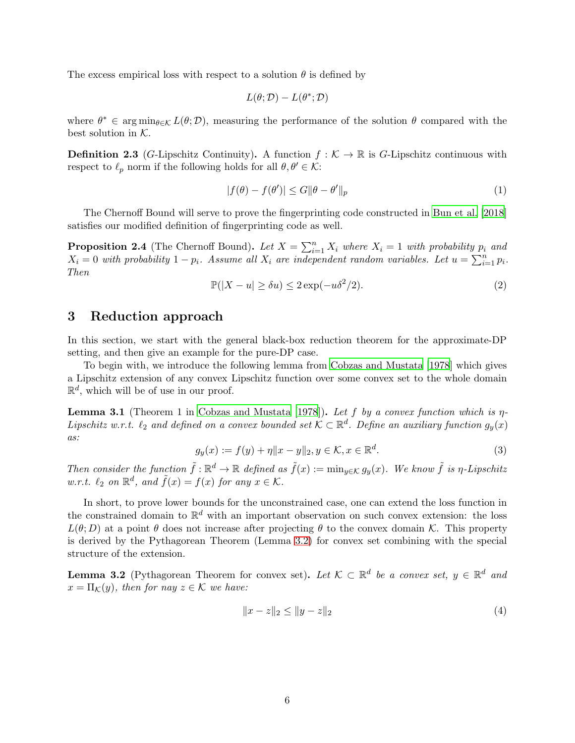The excess empirical loss with respect to a solution  $\theta$  is defined by

$$
L(\theta; \mathcal{D}) - L(\theta^*; \mathcal{D})
$$

where  $\theta^* \in \arg\min_{\theta \in \mathcal{K}} L(\theta; \mathcal{D})$ , measuring the performance of the solution  $\theta$  compared with the best solution in  $K$ .

**Definition 2.3** (G-Lipschitz Continuity). A function  $f : \mathcal{K} \to \mathbb{R}$  is G-Lipschitz continuous with respect to  $\ell_p$  norm if the following holds for all  $\theta, \theta' \in \mathcal{K}$ :

$$
|f(\theta) - f(\theta')| \le G \|\theta - \theta'\|_p \tag{1}
$$

The Chernoff Bound will serve to prove the fingerprinting code constructed in [Bun et al. \[2018](#page-12-10)] satisfies our modified definition of fingerprinting code as well.

**Proposition 2.4** (The Chernoff Bound). Let  $X = \sum_{i=1}^{n} X_i$  where  $X_i = 1$  with probability  $p_i$  and  $X_i = 0$  with probability  $1 - p_i$ . Assume all  $X_i$  are independent random variables. Let  $u = \sum_{i=1}^n p_i$ . Then

$$
\mathbb{P}(|X - u| \ge \delta u) \le 2\exp(-u\delta^2/2). \tag{2}
$$

### <span id="page-5-0"></span>3 Reduction approach

In this section, we start with the general black-box reduction theorem for the approximate-DP setting, and then give an example for the pure-DP case.

To begin with, we introduce the following lemma from [Cobzas and Mustata \[1978](#page-12-11)] which gives a Lipschitz extension of any convex Lipschitz function over some convex set to the whole domain  $\mathbb{R}^d$ , which will be of use in our proof.

<span id="page-5-2"></span>**Lemma 3.1** (Theorem 1 in [Cobzas and Mustata \[1978\]](#page-12-11)). Let f by a convex function which is  $\eta$ -Lipschitz w.r.t.  $\ell_2$  and defined on a convex bounded set  $\mathcal{K} \subset \mathbb{R}^d$ . Define an auxiliary function  $g_y(x)$ as:

$$
g_y(x) := f(y) + \eta \|x - y\|_2, y \in \mathcal{K}, x \in \mathbb{R}^d.
$$
 (3)

Then consider the function  $\tilde{f} : \mathbb{R}^d \to \mathbb{R}$  defined as  $\tilde{f}(x) := \min_{y \in \mathcal{K}} g_y(x)$ . We know  $\tilde{f}$  is  $\eta$ -Lipschitz w.r.t.  $\ell_2$  on  $\mathbb{R}^d$ , and  $\tilde{f}(x) = f(x)$  for any  $x \in \mathcal{K}$ .

In short, to prove lower bounds for the unconstrained case, one can extend the loss function in the constrained domain to  $\mathbb{R}^d$  with an important observation on such convex extension: the loss  $L(\theta; D)$  at a point  $\theta$  does not increase after projecting  $\theta$  to the convex domain K. This property is derived by the Pythagorean Theorem (Lemma [3.2\)](#page-5-1) for convex set combining with the special structure of the extension.

<span id="page-5-1"></span>**Lemma 3.2** (Pythagorean Theorem for convex set). Let  $K \subset \mathbb{R}^d$  be a convex set,  $y \in \mathbb{R}^d$  and  $x = \Pi_{\mathcal{K}}(y)$ , then for nay  $z \in \mathcal{K}$  we have:

$$
||x - z||_2 \le ||y - z||_2 \tag{4}
$$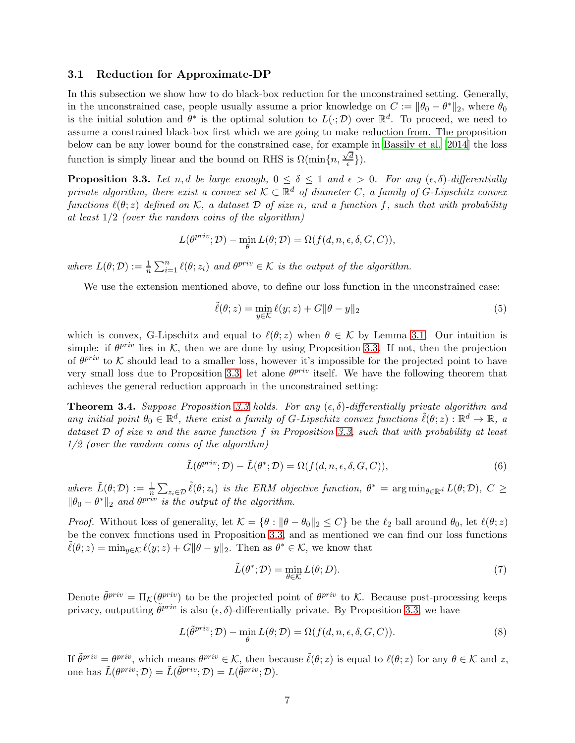### 3.1 Reduction for Approximate-DP

In this subsection we show how to do black-box reduction for the unconstrained setting. Generally, in the unconstrained case, people usually assume a prior knowledge on  $C := ||\theta_0 - \theta^*||_2$ , where  $\theta_0$ is the initial solution and  $\theta^*$  is the optimal solution to  $L(\cdot; \mathcal{D})$  over  $\mathbb{R}^d$ . To proceed, we need to assume a constrained black-box first which we are going to make reduction from. The proposition below can be any lower bound for the constrained case, for example in [Bassily et al. \[2014](#page-12-2)] the loss function is simply linear and the bound on RHS is  $\Omega(\min\{n, \frac{\sqrt{d}}{\epsilon}\})$  $\left\{\frac{d}{\epsilon}\right\}$ ).

<span id="page-6-0"></span>**Proposition 3.3.** Let n, d be large enough,  $0 \le \delta \le 1$  and  $\epsilon > 0$ . For any  $(\epsilon, \delta)$ -differentially private algorithm, there exist a convex set  $\mathcal{K} \subset \mathbb{R}^d$  of diameter C, a family of G-Lipschitz convex functions  $\ell(\theta; z)$  defined on K, a dataset D of size n, and a function f, such that with probability at least  $1/2$  (over the random coins of the algorithm)

$$
L(\theta^{priv}; \mathcal{D}) - \min_{\theta} L(\theta; \mathcal{D}) = \Omega(f(d, n, \epsilon, \delta, G, C)),
$$

where  $L(\theta; \mathcal{D}) := \frac{1}{n} \sum_{i=1}^n \ell(\theta; z_i)$  and  $\theta^{priv} \in \mathcal{K}$  is the output of the algorithm.

We use the extension mentioned above, to define our loss function in the unconstrained case:

$$
\tilde{\ell}(\theta; z) = \min_{y \in \mathcal{K}} \ell(y; z) + G \|\theta - y\|_2 \tag{5}
$$

which is convex, G-Lipschitz and equal to  $\ell(\theta; z)$  when  $\theta \in \mathcal{K}$  by Lemma [3.1.](#page-5-2) Our intuition is simple: if  $\theta^{priv}$  lies in K, then we are done by using Proposition [3.3.](#page-6-0) If not, then the projection of  $\theta^{priv}$  to K should lead to a smaller loss, however it's impossible for the projected point to have very small loss due to Proposition [3.3,](#page-6-0) let alone  $\theta^{priv}$  itself. We have the following theorem that achieves the general reduction approach in the unconstrained setting:

<span id="page-6-3"></span>**Theorem 3.4.** Suppose Proposition [3.3](#page-6-0) holds. For any  $(\epsilon, \delta)$ -differentially private algorithm and any initial point  $\theta_0 \in \mathbb{R}^d$ , there exist a family of G-Lipschitz convex functions  $\tilde{\ell}(\theta; z) : \mathbb{R}^d \to \mathbb{R}$ , a dataset  $D$  of size n and the same function f in Proposition [3.3,](#page-6-0) such that with probability at least  $1/2$  (over the random coins of the algorithm)

$$
\tilde{L}(\theta^{\text{priv}}; \mathcal{D}) - \tilde{L}(\theta^*; \mathcal{D}) = \Omega(f(d, n, \epsilon, \delta, G, C)),\tag{6}
$$

where  $\tilde{L}(\theta; \mathcal{D}) := \frac{1}{n} \sum_{z_i \in \mathcal{D}} \tilde{\ell}(\theta; z_i)$  is the ERM objective function,  $\theta^* = \arg \min_{\theta \in \mathbb{R}^d} L(\theta; \mathcal{D}), C \geq$  $\|\theta_0 - \theta^*\|_2$  and  $\theta^{priv}$  is the output of the algorithm.

*Proof.* Without loss of generality, let  $\mathcal{K} = \{\theta : \|\theta - \theta_0\|_2 \le C\}$  be the  $\ell_2$  ball around  $\theta_0$ , let  $\ell(\theta; z)$ be the convex functions used in Proposition [3.3,](#page-6-0) and as mentioned we can find our loss functions  $\tilde{\ell}(\theta; z) = \min_{y \in \mathcal{K}} \ell(y; z) + G \|\theta - y\|_2$ . Then as  $\theta^* \in \mathcal{K}$ , we know that

<span id="page-6-2"></span><span id="page-6-1"></span>
$$
\tilde{L}(\theta^*; \mathcal{D}) = \min_{\theta \in \mathcal{K}} L(\theta; D). \tag{7}
$$

Denote  $\tilde{\theta}^{priv} = \Pi_{\mathcal{K}}(\theta^{priv})$  to be the projected point of  $\theta^{priv}$  to  $\mathcal{K}$ . Because post-processing keeps privacy, outputting  $\tilde{\theta}^{priv}$  is also  $(\epsilon, \delta)$ -differentially private. By Proposition [3.3,](#page-6-0) we have

$$
L(\tilde{\theta}^{priv}; \mathcal{D}) - \min_{\theta} L(\theta; \mathcal{D}) = \Omega(f(d, n, \epsilon, \delta, G, C)).
$$
\n(8)

If  $\tilde{\theta}^{priv} = \theta^{priv}$ , which means  $\theta^{priv} \in \mathcal{K}$ , then because  $\tilde{\ell}(\theta; z)$  is equal to  $\ell(\theta; z)$  for any  $\theta \in \mathcal{K}$  and z, one has  $\tilde{L}(\theta^{priv}; \mathcal{D}) = \tilde{L}(\tilde{\theta}^{priv}; \mathcal{D}) = L(\tilde{\theta}^{priv}; \mathcal{D}).$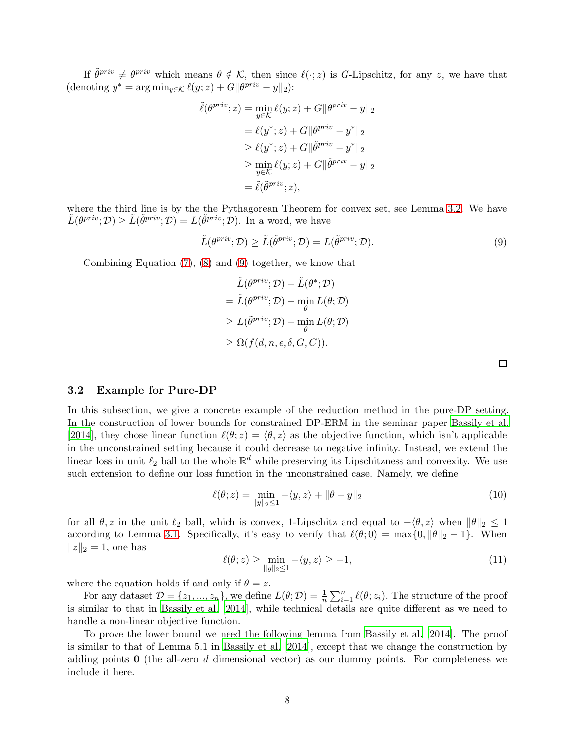If  $\tilde{\theta}^{priv} \neq \theta^{priv}$  which means  $\theta \notin \mathcal{K}$ , then since  $\ell(\cdot; z)$  is G-Lipschitz, for any z, we have that (denoting  $y^* = \arg \min_{y \in \mathcal{K}} \ell(y; z) + G \|\theta^{priv} - y\|_2$ ):

$$
\tilde{\ell}(\theta^{priv}; z) = \min_{y \in \mathcal{K}} \ell(y; z) + G \|\theta^{priv} - y\|_2
$$

$$
= \ell(y^*; z) + G \|\theta^{priv} - y^*\|_2
$$

$$
\geq \ell(y^*; z) + G \|\tilde{\theta}^{priv} - y^*\|_2
$$

$$
\geq \min_{y \in \mathcal{K}} \ell(y; z) + G \|\tilde{\theta}^{priv} - y\|_2
$$

$$
= \tilde{\ell}(\tilde{\theta}^{priv}; z),
$$

where the third line is by the the Pythagorean Theorem for convex set, see Lemma [3.2.](#page-5-1) We have  $\tilde{L}(\theta^{priv}; \mathcal{D}) \ge \tilde{L}(\tilde{\theta}^{priv}; \mathcal{D}) = L(\tilde{\theta}^{priv}; \mathcal{D}).$  In a word, we have

$$
\tilde{L}(\theta^{priv}; \mathcal{D}) \ge \tilde{L}(\tilde{\theta}^{priv}; \mathcal{D}) = L(\tilde{\theta}^{priv}; \mathcal{D}).
$$
\n(9)

Combining Equation [\(7\)](#page-6-1), [\(8\)](#page-6-2) and [\(9\)](#page-7-0) together, we know that

$$
\tilde{L}(\theta^{priv}; \mathcal{D}) - \tilde{L}(\theta^*; \mathcal{D})
$$
\n
$$
= \tilde{L}(\theta^{priv}; \mathcal{D}) - \min_{\theta} L(\theta; \mathcal{D})
$$
\n
$$
\geq L(\tilde{\theta}^{priv}; \mathcal{D}) - \min_{\theta} L(\theta; \mathcal{D})
$$
\n
$$
\geq \Omega(f(d, n, \epsilon, \delta, G, C)).
$$

<span id="page-7-2"></span><span id="page-7-0"></span> $\Box$ 

### 3.2 Example for Pure-DP

In this subsection, we give a concrete example of the reduction method in the pure-DP setting. In the construction of lower bounds for constrained DP-ERM in the seminar paper [Bassily et al.](#page-12-2) [\[2014\]](#page-12-2), they chose linear function  $\ell(\theta; z) = \langle \theta, z \rangle$  as the objective function, which isn't applicable in the unconstrained setting because it could decrease to negative infinity. Instead, we extend the linear loss in unit  $\ell_2$  ball to the whole  $\mathbb{R}^d$  while preserving its Lipschitzness and convexity. We use such extension to define our loss function in the unconstrained case. Namely, we define

$$
\ell(\theta; z) = \min_{\|y\|_2 \le 1} -\langle y, z \rangle + \|\theta - y\|_2 \tag{10}
$$

for all  $\theta, z$  in the unit  $\ell_2$  ball, which is convex, 1-Lipschitz and equal to  $-\langle \theta, z \rangle$  when  $\|\theta\|_2 \leq 1$ according to Lemma [3.1.](#page-5-2) Specifically, it's easy to verify that  $\ell(\theta;0) = \max\{0, \|\theta\|_2 - 1\}$ . When  $||z||_2 = 1$ , one has

$$
\ell(\theta; z) \ge \min_{\|y\|_2 \le 1} -\langle y, z \rangle \ge -1,\tag{11}
$$

where the equation holds if and only if  $\theta = z$ .

For any dataset  $\mathcal{D} = \{z_1, ..., z_n\}$ , we define  $L(\theta; \mathcal{D}) = \frac{1}{n} \sum_{i=1}^n \ell(\theta; z_i)$ . The structure of the proof is similar to that in [Bassily et al. \[2014\]](#page-12-2), while technical details are quite different as we need to handle a non-linear objective function.

<span id="page-7-1"></span>To prove the lower bound we need the following lemma from [Bassily et al. \[2014](#page-12-2)]. The proof is similar to that of Lemma 5.1 in [Bassily et al. \[2014](#page-12-2)], except that we change the construction by adding points  $\bf{0}$  (the all-zero d dimensional vector) as our dummy points. For completeness we include it here.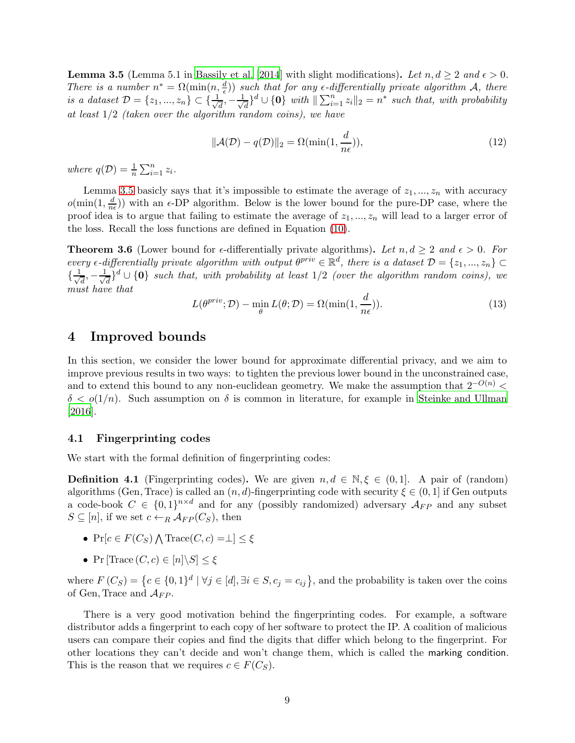**Lemma 3.5** (Lemma 5.1 in [Bassily et al. \[2014](#page-12-2)] with slight modifications). Let  $n, d \geq 2$  and  $\epsilon > 0$ . There is a number  $n^* = \Omega(\min(n, \frac{d}{\epsilon}))$  such that for any  $\epsilon$ -differentially private algorithm A, there is a dataset  $\mathcal{D} = \{z_1, ..., z_n\} \subset \{\frac{1}{\sqrt{n}}\}$  $\frac{1}{d}$ ,  $-\frac{1}{\sqrt{d}}$  $\frac{1}{d}$ <sup>d</sup>  $\cup$  {0} with  $\|\sum_{i=1}^n z_i\|_2 = n^*$  such that, with probability at least 1/2 (taken over the algorithm random coins), we have

$$
\|\mathcal{A}(\mathcal{D}) - q(\mathcal{D})\|_2 = \Omega(\min(1, \frac{d}{n\epsilon})),\tag{12}
$$

where  $q(\mathcal{D}) = \frac{1}{n} \sum_{i=1}^{n} z_i$ .

Lemma [3.5](#page-7-1) basicly says that it's impossible to estimate the average of  $z_1, ..., z_n$  with accuracy  $o(\min(1, \frac{d}{n})$  $\frac{a}{n\epsilon}$ )) with an  $\epsilon$ -DP algorithm. Below is the lower bound for the pure-DP case, where the proof idea is to argue that failing to estimate the average of  $z_1, \ldots, z_n$  will lead to a larger error of the loss. Recall the loss functions are defined in Equation [\(10\)](#page-7-2).

<span id="page-8-1"></span>**Theorem 3.6** (Lower bound for  $\epsilon$ -differentially private algorithms). Let  $n, d \geq 2$  and  $\epsilon > 0$ . For every  $\epsilon$ -differentially private algorithm with output  $\theta^{priv} \in \mathbb{R}^d$ , there is a dataset  $\mathcal{D} = \{z_1, ..., z_n\} \subset$  $\{\frac{1}{\sqrt{2}}\}$  $\frac{1}{d}$ ,  $-\frac{1}{\sqrt{2}}$  $\bar{d}_{\overline{d}}\}^d \cup \{\mathbf{0}\}$  such that, with probability at least  $1/2$  (over the algorithm random coins), we must have that

$$
L(\theta^{priv}; \mathcal{D}) - \min_{\theta} L(\theta; \mathcal{D}) = \Omega(\min(1, \frac{d}{n\epsilon})).
$$
\n(13)

# <span id="page-8-0"></span>4 Improved bounds

In this section, we consider the lower bound for approximate differential privacy, and we aim to improve previous results in two ways: to tighten the previous lower bound in the unconstrained case, and to extend this bound to any non-euclidean geometry. We make the assumption that  $2^{-O(n)}$  <  $\delta < o(1/n)$ . Such assumption on  $\delta$  is common in literature, for example in [Steinke and Ullman](#page-13-9) [\[2016\]](#page-13-9).

### 4.1 Fingerprinting codes

We start with the formal definition of fingerprinting codes:

**Definition 4.1** (Fingerprinting codes). We are given  $n, d \in \mathbb{N}, \xi \in (0, 1]$ . A pair of (random) algorithms (Gen, Trace) is called an  $(n, d)$ -fingerprinting code with security  $\xi \in (0, 1]$  if Gen outputs a code-book  $C \in \{0,1\}^{n \times d}$  and for any (possibly randomized) adversary  $\mathcal{A}_{FP}$  and any subset  $S \subseteq [n]$ , if we set  $c \leftarrow_R \mathcal{A}_{FP}(C_S)$ , then

- Pr[ $c \in F(C_S) \bigwedge \text{Trace}(C, c) = \perp \, ] \leq \xi$
- Pr [Trace  $(C, c) \in [n] \backslash S] \leq \xi$

where  $F(C_S) = \left\{c \in \{0,1\}^d \mid \forall j \in [d], \exists i \in S, c_j = c_{ij}\right\}$ , and the probability is taken over the coins of Gen, Trace and  $\mathcal{A}_{FP}$ .

There is a very good motivation behind the fingerprinting codes. For example, a software distributor adds a fingerprint to each copy of her software to protect the IP. A coalition of malicious users can compare their copies and find the digits that differ which belong to the fingerprint. For other locations they can't decide and won't change them, which is called the marking condition. This is the reason that we requires  $c \in F(C_S)$ .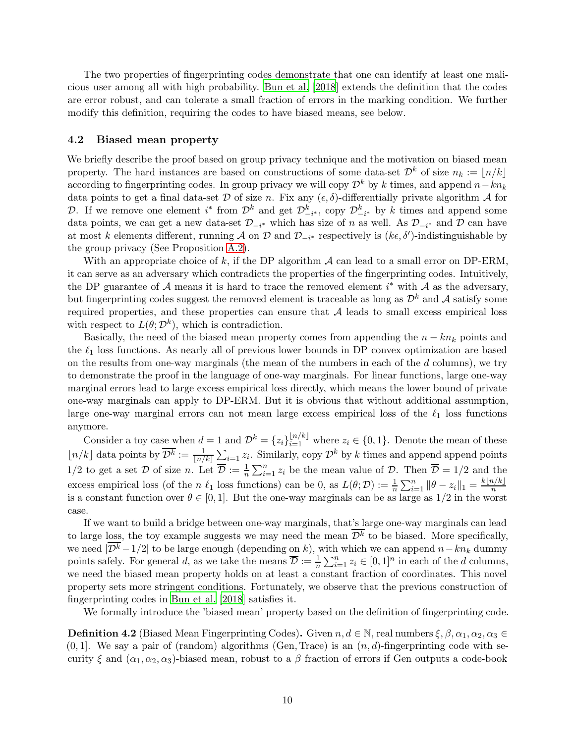The two properties of fingerprinting codes demonstrate that one can identify at least one malicious user among all with high probability. [Bun et al. \[2018](#page-12-10)] extends the definition that the codes are error robust, and can tolerate a small fraction of errors in the marking condition. We further modify this definition, requiring the codes to have biased means, see below.

#### 4.2 Biased mean property

We briefly describe the proof based on group privacy technique and the motivation on biased mean property. The hard instances are based on constructions of some data-set  $\mathcal{D}^k$  of size  $n_k := |n/k|$ according to fingerprinting codes. In group privacy we will copy  $\mathcal{D}^k$  by k times, and append  $n-kn_k$ data points to get a final data-set  $\mathcal D$  of size n. Fix any  $(\epsilon, \delta)$ -differentially private algorithm  $\mathcal A$  for D. If we remove one element  $i^*$  from  $\mathcal{D}^k$  and get  $\mathcal{D}_{-i^*}^k$ , copy  $\mathcal{D}_{-i^*}^k$  by k times and append some data points, we can get a new data-set  $\mathcal{D}_{-i^*}$  which has size of n as well. As  $\mathcal{D}_{-i^*}$  and D can have at most k elements different, running A on D and  $\mathcal{D}_{-i^*}$  respectively is  $(k\epsilon, \delta')$ -indistinguishable by the group privacy (See Proposition [A.2\)](#page-15-1).

With an appropriate choice of k, if the DP algorithm  $A$  can lead to a small error on DP-ERM, it can serve as an adversary which contradicts the properties of the fingerprinting codes. Intuitively, the DP guarantee of A means it is hard to trace the removed element  $i^*$  with A as the adversary, but fingerprinting codes suggest the removed element is traceable as long as  $\mathcal{D}^k$  and A satisfy some required properties, and these properties can ensure that  $A$  leads to small excess empirical loss with respect to  $L(\theta; \mathcal{D}^k)$ , which is contradiction.

Basically, the need of the biased mean property comes from appending the  $n - kn_k$  points and the  $\ell_1$  loss functions. As nearly all of previous lower bounds in DP convex optimization are based on the results from one-way marginals (the mean of the numbers in each of the  $d$  columns), we try to demonstrate the proof in the language of one-way marginals. For linear functions, large one-way marginal errors lead to large excess empirical loss directly, which means the lower bound of private one-way marginals can apply to DP-ERM. But it is obvious that without additional assumption, large one-way marginal errors can not mean large excess empirical loss of the  $\ell_1$  loss functions anymore.

Consider a toy case when  $d = 1$  and  $\mathcal{D}^k = \{z_i\}_{i=1}^{\lfloor n/k \rfloor}$  where  $z_i \in \{0, 1\}$ . Denote the mean of these  $\lfloor n/k \rfloor$  data points by  $\overline{\mathcal{D}^k} := \frac{1}{\lfloor n/k \rfloor} \sum_{i=1}^n z_i$ . Similarly, copy  $\mathcal{D}^k$  by k times and append append points  $1/2$  to get a set  $\mathcal D$  of size n. Let  $\overline{\mathcal D} := \frac{1}{n} \sum_{i=1}^n z_i$  be the mean value of  $\mathcal D$ . Then  $\overline{\mathcal D} = 1/2$  and the excess empirical loss (of the n  $\ell_1$  loss functions) can be 0, as  $L(\theta; \mathcal{D}) := \frac{1}{n} \sum_{i=1}^n ||\theta - z_i||_1 = \frac{k \lfloor n/k \rfloor}{n}$ is a constant function over  $\theta \in [0, 1]$ . But the one-way marginals can be as large as  $1/2$  in the worst case.

If we want to build a bridge between one-way marginals, that's large one-way marginals can lead to large loss, the toy example suggests we may need the mean  $\overline{\mathcal{D}^k}$  to be biased. More specifically, we need  $|\overline{\mathcal{D}^k} - 1/2|$  to be large enough (depending on k), with which we can append  $n - kn_k$  dummy points safely. For general d, as we take the means  $\overline{\mathcal{D}} := \frac{1}{n} \sum_{i=1}^{n} z_i \in [0,1]^n$  in each of the d columns, we need the biased mean property holds on at least a constant fraction of coordinates. This novel property sets more stringent conditions. Fortunately, we observe that the previous construction of fingerprinting codes in [Bun et al. \[2018](#page-12-10)] satisfies it.

<span id="page-9-0"></span>We formally introduce the 'biased mean' property based on the definition of fingerprinting code.

**Definition 4.2** (Biased Mean Fingerprinting Codes). Given  $n, d \in \mathbb{N}$ , real numbers  $\xi, \beta, \alpha_1, \alpha_2, \alpha_3 \in$  $(0, 1]$ . We say a pair of (random) algorithms (Gen, Trace) is an  $(n, d)$ -fingerprinting code with security  $\xi$  and  $(\alpha_1, \alpha_2, \alpha_3)$ -biased mean, robust to a  $\beta$  fraction of errors if Gen outputs a code-book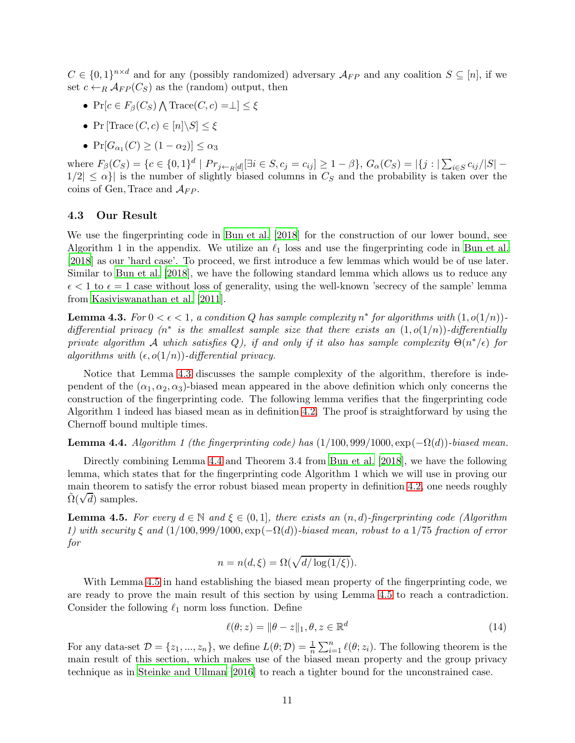$C \in \{0,1\}^{n \times d}$  and for any (possibly randomized) adversary  $\mathcal{A}_{FP}$  and any coalition  $S \subseteq [n]$ , if we set  $c \leftarrow_R \mathcal{A}_{FP}(C_S)$  as the (random) output, then

- Pr[ $c \in F_\beta(C_S) \bigwedge \text{Trace}(C, c) = \perp \, ] \leq \xi$
- Pr  $[Trace(C, c) \in [n] \backslash S] < \xi$
- $Pr[G_{\alpha_1}(C) \geq (1 \alpha_2)] \leq \alpha_3$

where  $F_{\beta}(C_S) = \{c \in \{0,1\}^d \mid Pr_{j \leftarrow R}[d]}[\exists i \in S, c_j = c_{ij}] \ge 1 - \beta\}, G_{\alpha}(C_S) = |\{j : |\sum_{i \in S} c_{ij}/|S| - \beta\}|$  $1/2| \leq \alpha$ } is the number of slightly biased columns in  $C_S$  and the probability is taken over the coins of Gen, Trace and  $\mathcal{A}_{FP}$ .

### 4.3 Our Result

We use the fingerprinting code in [Bun et al. \[2018](#page-12-10)] for the construction of our lower bound, see Algorithm 1 in the appendix. We utilize an  $\ell_1$  loss and use the fingerprinting code in [Bun et al.](#page-12-10) [\[2018\]](#page-12-10) as our 'hard case'. To proceed, we first introduce a few lemmas which would be of use later. Similar to [Bun et al. \[2018](#page-12-10)], we have the following standard lemma which allows us to reduce any  $\epsilon$  < 1 to  $\epsilon$  = 1 case without loss of generality, using the well-known 'secrecy of the sample' lemma from [Kasiviswanathan et al. \[2011\]](#page-13-13).

<span id="page-10-0"></span>**Lemma 4.3.** For  $0 < \epsilon < 1$ , a condition Q has sample complexity  $n^*$  for algorithms with  $(1, o(1/n))$ differential privacy  $(n^*$  is the smallest sample size that there exists an  $(1, o(1/n))$ -differentially private algorithm A which satisfies Q), if and only if it also has sample complexity  $\Theta(n^*/\epsilon)$  for algorithms with  $(\epsilon, o(1/n))$ -differential privacy.

Notice that Lemma [4.3](#page-10-0) discusses the sample complexity of the algorithm, therefore is independent of the  $(\alpha_1, \alpha_2, \alpha_3)$ -biased mean appeared in the above definition which only concerns the construction of the fingerprinting code. The following lemma verifies that the fingerprinting code Algorithm 1 indeed has biased mean as in definition [4.2.](#page-9-0) The proof is straightforward by using the Chernoff bound multiple times.

<span id="page-10-1"></span>**Lemma 4.4.** Algorithm 1 (the fingerprinting code) has  $(1/100, 999/1000, \exp(-\Omega(d))$ -biased mean.

Directly combining Lemma [4.4](#page-10-1) and Theorem 3.4 from [Bun et al. \[2018](#page-12-10)], we have the following lemma, which states that for the fingerprinting code Algorithm 1 which we will use in proving our main theorem to satisfy the error robust biased mean property in definition [4.2,](#page-9-0) one needs roughly  $\tilde{\Omega}(\sqrt{d})$  samples.

<span id="page-10-2"></span>**Lemma 4.5.** For every  $d \in \mathbb{N}$  and  $\xi \in (0,1]$ , there exists an  $(n,d)$ -fingerprinting code (Algorithm 1) with security  $\xi$  and  $(1/100, 999/1000, \exp(-\Omega(d))$ -biased mean, robust to a 1/75 fraction of error for

$$
n = n(d, \xi) = \Omega(\sqrt{d/\log(1/\xi)}).
$$

With Lemma [4.5](#page-10-2) in hand establishing the biased mean property of the fingerprinting code, we are ready to prove the main result of this section by using Lemma [4.5](#page-10-2) to reach a contradiction. Consider the following  $\ell_1$  norm loss function. Define

$$
\ell(\theta; z) = \|\theta - z\|_1, \theta, z \in \mathbb{R}^d \tag{14}
$$

<span id="page-10-3"></span>For any data-set  $\mathcal{D} = \{z_1, ..., z_n\}$ , we define  $L(\theta; \mathcal{D}) = \frac{1}{n} \sum_{i=1}^n \ell(\theta; z_i)$ . The following theorem is the main result of this section, which makes use of the biased mean property and the group privacy technique as in [Steinke and Ullman \[2016\]](#page-13-9) to reach a tighter bound for the unconstrained case.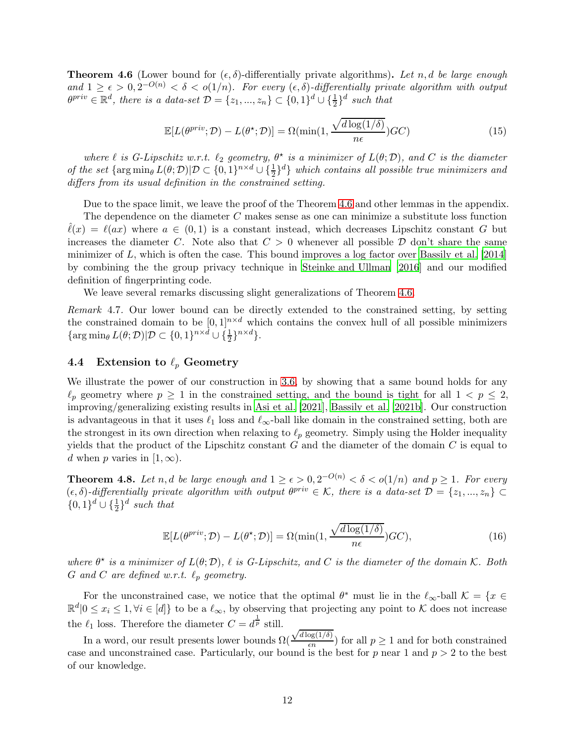**Theorem 4.6** (Lower bound for  $(\epsilon, \delta)$ -differentially private algorithms). Let n, d be large enough and  $1 \geq \epsilon > 0, 2^{-O(n)} < \delta < o(1/n)$ . For every  $(\epsilon, \delta)$ -differentially private algorithm with output  $\theta^{priv} \in \mathbb{R}^d$ , there is a data-set  $\mathcal{D} = \{z_1, ..., z_n\} \subset \{0, 1\}^d \cup \{\frac{1}{2}\}^d$  such that

$$
\mathbb{E}[L(\theta^{priv}; \mathcal{D}) - L(\theta^*; \mathcal{D})] = \Omega(\min(1, \frac{\sqrt{d \log(1/\delta)}}{n\epsilon}) \mathcal{G}\mathcal{C})
$$
\n(15)

where  $\ell$  is G-Lipschitz w.r.t.  $\ell_2$  geometry,  $\theta^*$  is a minimizer of  $L(\theta;\mathcal{D})$ , and C is the diameter of the set  $\{\arg\min_{\theta} L(\theta; \mathcal{D}) | \mathcal{D} \subset \{0,1\}^{n \times d} \cup \{\frac{1}{2}\}^d\}$  which contains all possible true minimizers and differs from its usual definition in the constrained setting.

Due to the space limit, we leave the proof of the Theorem [4.6](#page-10-3) and other lemmas in the appendix. The dependence on the diameter  $C$  makes sense as one can minimize a substitute loss function  $\ell(x) = \ell(ax)$  where  $a \in (0,1)$  is a constant instead, which decreases Lipschitz constant G but increases the diameter C. Note also that  $C > 0$  whenever all possible  $D$  don't share the same minimizer of  $L$ , which is often the case. This bound improves a log factor over [Bassily et al. \[2014\]](#page-12-2) by combining the the group privacy technique in [Steinke and Ullman \[2016](#page-13-9)] and our modified definition of fingerprinting code.

We leave several remarks discussing slight generalizations of Theorem [4.6.](#page-10-3)

Remark 4.7. Our lower bound can be directly extended to the constrained setting, by setting the constrained domain to be  $[0, 1]^{n \times d}$  which contains the convex hull of all possible minimizers  $\{\arg\min_{\theta} L(\theta; \mathcal{D}) | \mathcal{D} \subset \{0, 1\}^{n \times d} \cup \{\frac{1}{2}\}^{n \times d}\}.$ 

### 4.4 Extension to  $\ell_p$  Geometry

We illustrate the power of our construction in [3.6,](#page-8-1) by showing that a same bound holds for any  $\ell_p$  geometry where  $p \geq 1$  in the constrained setting, and the bound is tight for all  $1 < p \leq 2$ , improving/generalizing existing results in [Asi et al. \[2021](#page-12-4)], [Bassily et al. \[2021b](#page-12-5)]. Our construction is advantageous in that it uses  $\ell_1$  loss and  $\ell_{\infty}$ -ball like domain in the constrained setting, both are the strongest in its own direction when relaxing to  $\ell_p$  geometry. Simply using the Holder inequality yields that the product of the Lipschitz constant  $G$  and the diameter of the domain  $C$  is equal to d when p varies in [1,  $\infty$ ).

<span id="page-11-0"></span>**Theorem 4.8.** Let n, d be large enough and  $1 \ge \epsilon > 0, 2^{-O(n)} < \delta < o(1/n)$  and  $p \ge 1$ . For every  $(\epsilon, \delta)$ -differentially private algorithm with output  $\theta^{priv} \in \mathcal{K}$ , there is a data-set  $\mathcal{D} = \{z_1, ..., z_n\} \subset$  $\{0,1\}^d \cup \{\frac{1}{2}\}^d$  such that

$$
\mathbb{E}[L(\theta^{priv}; \mathcal{D}) - L(\theta^*; \mathcal{D})] = \Omega(\min(1, \frac{\sqrt{d \log(1/\delta)}}{n\epsilon}) GC),\tag{16}
$$

where  $\theta^*$  is a minimizer of  $L(\theta; \mathcal{D})$ ,  $\ell$  is G-Lipschitz, and C is the diameter of the domain K. Both G and C are defined w.r.t.  $\ell_p$  geometry.

For the unconstrained case, we notice that the optimal  $\theta^*$  must lie in the  $\ell_{\infty}$ -ball  $\mathcal{K} = \{x \in$  $\mathbb{R}^d |0 \leq x_i \leq 1, \forall i \in [d]$  to be a  $\ell_{\infty}$ , by observing that projecting any point to K does not increase the  $\ell_1$  loss. Therefore the diameter  $C = d^{\frac{1}{p}}$  still.

In a word, our result presents lower bounds  $\Omega($  $\sqrt{d \log(1/\delta)}$  $\frac{\log(1/\theta)}{\epsilon n}$  for all  $p \geq 1$  and for both constrained case and unconstrained case. Particularly, our bound is the best for  $p$  near 1 and  $p > 2$  to the best of our knowledge.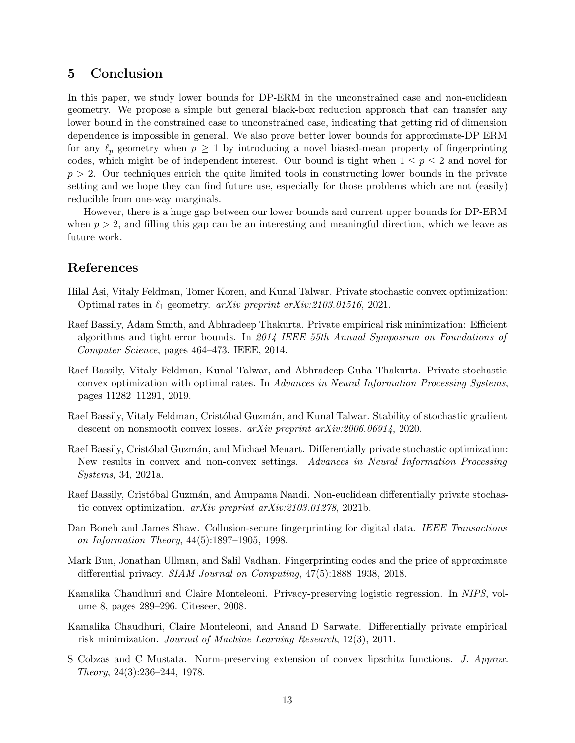# <span id="page-12-9"></span>5 Conclusion

In this paper, we study lower bounds for DP-ERM in the unconstrained case and non-euclidean geometry. We propose a simple but general black-box reduction approach that can transfer any lower bound in the constrained case to unconstrained case, indicating that getting rid of dimension dependence is impossible in general. We also prove better lower bounds for approximate-DP ERM for any  $\ell_p$  geometry when  $p \geq 1$  by introducing a novel biased-mean property of fingerprinting codes, which might be of independent interest. Our bound is tight when  $1 \leq p \leq 2$  and novel for  $p > 2$ . Our techniques enrich the quite limited tools in constructing lower bounds in the private setting and we hope they can find future use, especially for those problems which are not (easily) reducible from one-way marginals.

However, there is a huge gap between our lower bounds and current upper bounds for DP-ERM when  $p > 2$ , and filling this gap can be an interesting and meaningful direction, which we leave as future work.

# References

- <span id="page-12-4"></span>Hilal Asi, Vitaly Feldman, Tomer Koren, and Kunal Talwar. Private stochastic convex optimization: Optimal rates in  $\ell_1$  geometry. arXiv preprint arXiv:2103.01516, 2021.
- <span id="page-12-2"></span>Raef Bassily, Adam Smith, and Abhradeep Thakurta. Private empirical risk minimization: Efficient algorithms and tight error bounds. In 2014 IEEE 55th Annual Symposium on Foundations of Computer Science, pages 464–473. IEEE, 2014.
- <span id="page-12-7"></span>Raef Bassily, Vitaly Feldman, Kunal Talwar, and Abhradeep Guha Thakurta. Private stochastic convex optimization with optimal rates. In Advances in Neural Information Processing Systems, pages 11282–11291, 2019.
- <span id="page-12-3"></span>Raef Bassily, Vitaly Feldman, Cristóbal Guzmán, and Kunal Talwar. Stability of stochastic gradient descent on nonsmooth convex losses. *arXiv preprint arXiv:2006.06914*, 2020.
- <span id="page-12-6"></span>Raef Bassily, Cristóbal Guzmán, and Michael Menart. Differentially private stochastic optimization: New results in convex and non-convex settings. Advances in Neural Information Processing Systems, 34, 2021a.
- <span id="page-12-5"></span>Raef Bassily, Cristóbal Guzmán, and Anupama Nandi. Non-euclidean differentially private stochastic convex optimization. arXiv preprint arXiv:2103.01278, 2021b.
- <span id="page-12-8"></span>Dan Boneh and James Shaw. Collusion-secure fingerprinting for digital data. IEEE Transactions on Information Theory, 44(5):1897–1905, 1998.
- <span id="page-12-10"></span>Mark Bun, Jonathan Ullman, and Salil Vadhan. Fingerprinting codes and the price of approximate differential privacy. SIAM Journal on Computing, 47(5):1888–1938, 2018.
- <span id="page-12-0"></span>Kamalika Chaudhuri and Claire Monteleoni. Privacy-preserving logistic regression. In NIPS, volume 8, pages 289–296. Citeseer, 2008.
- <span id="page-12-1"></span>Kamalika Chaudhuri, Claire Monteleoni, and Anand D Sarwate. Differentially private empirical risk minimization. Journal of Machine Learning Research, 12(3), 2011.
- <span id="page-12-11"></span>S Cobzas and C Mustata. Norm-preserving extension of convex lipschitz functions. J. Approx. Theory, 24(3):236–244, 1978.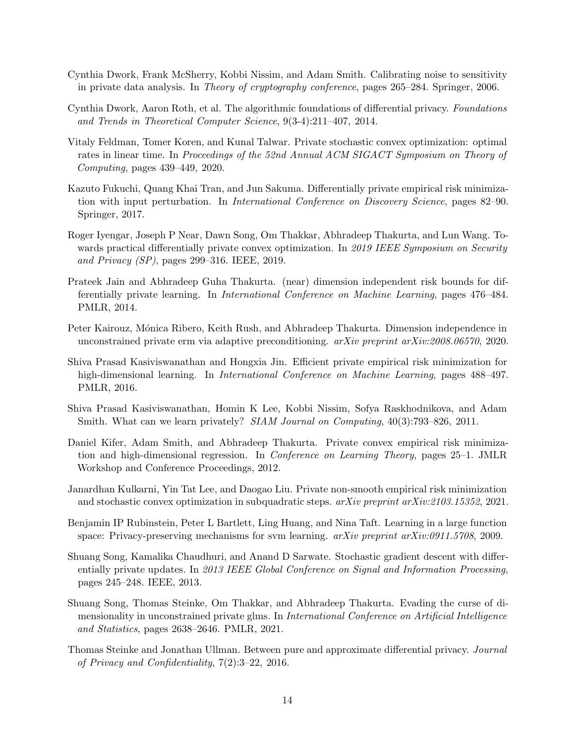- <span id="page-13-0"></span>Cynthia Dwork, Frank McSherry, Kobbi Nissim, and Adam Smith. Calibrating noise to sensitivity in private data analysis. In Theory of cryptography conference, pages 265–284. Springer, 2006.
- <span id="page-13-14"></span>Cynthia Dwork, Aaron Roth, et al. The algorithmic foundations of differential privacy. Foundations and Trends in Theoretical Computer Science, 9(3-4):211–407, 2014.
- <span id="page-13-12"></span>Vitaly Feldman, Tomer Koren, and Kunal Talwar. Private stochastic convex optimization: optimal rates in linear time. In Proceedings of the 52nd Annual ACM SIGACT Symposium on Theory of Computing, pages 439–449, 2020.
- <span id="page-13-6"></span>Kazuto Fukuchi, Quang Khai Tran, and Jun Sakuma. Differentially private empirical risk minimization with input perturbation. In International Conference on Discovery Science, pages 82–90. Springer, 2017.
- <span id="page-13-7"></span>Roger Iyengar, Joseph P Near, Dawn Song, Om Thakkar, Abhradeep Thakurta, and Lun Wang. Towards practical differentially private convex optimization. In 2019 IEEE Symposium on Security and Privacy (SP), pages 299–316. IEEE, 2019.
- <span id="page-13-4"></span>Prateek Jain and Abhradeep Guha Thakurta. (near) dimension independent risk bounds for differentially private learning. In International Conference on Machine Learning, pages 476–484. PMLR, 2014.
- <span id="page-13-11"></span>Peter Kairouz, Mónica Ribero, Keith Rush, and Abhradeep Thakurta. Dimension independence in unconstrained private erm via adaptive preconditioning. arXiv preprint arXiv:2008.06570, 2020.
- <span id="page-13-5"></span>Shiva Prasad Kasiviswanathan and Hongxia Jin. Efficient private empirical risk minimization for high-dimensional learning. In *International Conference on Machine Learning*, pages 488–497. PMLR, 2016.
- <span id="page-13-13"></span>Shiva Prasad Kasiviswanathan, Homin K Lee, Kobbi Nissim, Sofya Raskhodnikova, and Adam Smith. What can we learn privately? SIAM Journal on Computing, 40(3):793–826, 2011.
- <span id="page-13-2"></span>Daniel Kifer, Adam Smith, and Abhradeep Thakurta. Private convex empirical risk minimization and high-dimensional regression. In Conference on Learning Theory, pages 25–1. JMLR Workshop and Conference Proceedings, 2012.
- <span id="page-13-8"></span>Janardhan Kulkarni, Yin Tat Lee, and Daogao Liu. Private non-smooth empirical risk minimization and stochastic convex optimization in subquadratic steps. arXiv preprint arXiv:2103.15352, 2021.
- <span id="page-13-1"></span>Benjamin IP Rubinstein, Peter L Bartlett, Ling Huang, and Nina Taft. Learning in a large function space: Privacy-preserving mechanisms for svm learning.  $arXiv$  preprint  $arXiv:0911.5708$ , 2009.
- <span id="page-13-3"></span>Shuang Song, Kamalika Chaudhuri, and Anand D Sarwate. Stochastic gradient descent with differentially private updates. In 2013 IEEE Global Conference on Signal and Information Processing, pages 245–248. IEEE, 2013.
- <span id="page-13-10"></span>Shuang Song, Thomas Steinke, Om Thakkar, and Abhradeep Thakurta. Evading the curse of dimensionality in unconstrained private glms. In International Conference on Artificial Intelligence and Statistics, pages 2638–2646. PMLR, 2021.
- <span id="page-13-9"></span>Thomas Steinke and Jonathan Ullman. Between pure and approximate differential privacy. Journal of Privacy and Confidentiality, 7(2):3–22, 2016.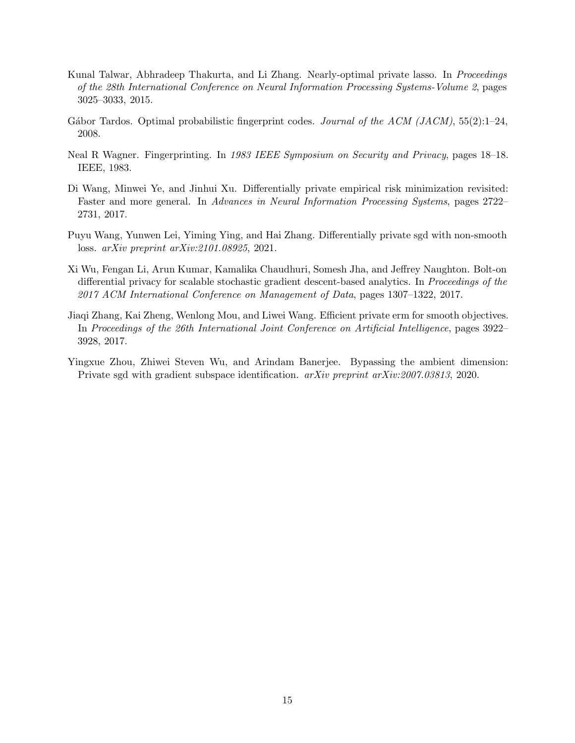- <span id="page-14-0"></span>Kunal Talwar, Abhradeep Thakurta, and Li Zhang. Nearly-optimal private lasso. In *Proceedings* of the 28th International Conference on Neural Information Processing Systems-Volume 2, pages 3025–3033, 2015.
- <span id="page-14-6"></span>Gábor Tardos. Optimal probabilistic fingerprint codes. Journal of the ACM (JACM),  $55(2)$ :1–24, 2008.
- <span id="page-14-5"></span>Neal R Wagner. Fingerprinting. In 1983 IEEE Symposium on Security and Privacy, pages 18–18. IEEE, 1983.
- <span id="page-14-3"></span>Di Wang, Minwei Ye, and Jinhui Xu. Differentially private empirical risk minimization revisited: Faster and more general. In Advances in Neural Information Processing Systems, pages 2722– 2731, 2017.
- <span id="page-14-4"></span>Puyu Wang, Yunwen Lei, Yiming Ying, and Hai Zhang. Differentially private sgd with non-smooth loss. arXiv preprint arXiv:2101.08925, 2021.
- <span id="page-14-1"></span>Xi Wu, Fengan Li, Arun Kumar, Kamalika Chaudhuri, Somesh Jha, and Jeffrey Naughton. Bolt-on differential privacy for scalable stochastic gradient descent-based analytics. In Proceedings of the 2017 ACM International Conference on Management of Data, pages 1307–1322, 2017.
- <span id="page-14-2"></span>Jiaqi Zhang, Kai Zheng, Wenlong Mou, and Liwei Wang. Efficient private erm for smooth objectives. In Proceedings of the 26th International Joint Conference on Artificial Intelligence, pages 3922– 3928, 2017.
- <span id="page-14-7"></span>Yingxue Zhou, Zhiwei Steven Wu, and Arindam Banerjee. Bypassing the ambient dimension: Private sgd with gradient subspace identification. arXiv preprint arXiv:2007.03813, 2020.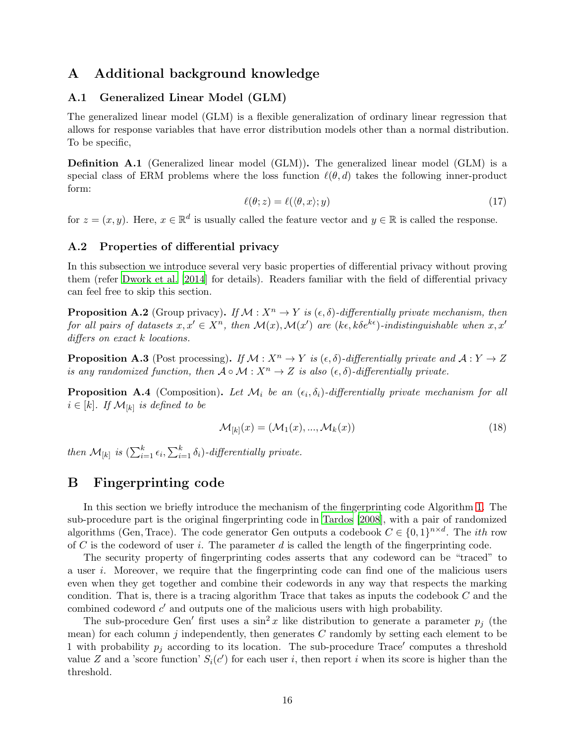# A Additional background knowledge

### A.1 Generalized Linear Model (GLM)

The generalized linear model (GLM) is a flexible generalization of ordinary linear regression that allows for response variables that have error distribution models other than a normal distribution. To be specific,

<span id="page-15-0"></span>Definition A.1 (Generalized linear model (GLM)). The generalized linear model (GLM) is a special class of ERM problems where the loss function  $\ell(\theta, d)$  takes the following inner-product form:

$$
\ell(\theta; z) = \ell(\langle \theta, x \rangle; y) \tag{17}
$$

for  $z = (x, y)$ . Here,  $x \in \mathbb{R}^d$  is usually called the feature vector and  $y \in \mathbb{R}$  is called the response.

### A.2 Properties of differential privacy

In this subsection we introduce several very basic properties of differential privacy without proving them (refer [Dwork et al. \[2014](#page-13-14)] for details). Readers familiar with the field of differential privacy can feel free to skip this section.

<span id="page-15-1"></span>**Proposition A.2** (Group privacy). If  $\mathcal{M}: X^n \to Y$  is  $(\epsilon, \delta)$ -differentially private mechanism, then for all pairs of datasets  $x, x' \in X^n$ , then  $\mathcal{M}(x), \mathcal{M}(x')$  are  $(k\epsilon, k\delta e^{k\epsilon})$ -indistinguishable when  $x, x'$ differs on exact k locations.

**Proposition A.3** (Post processing). If  $M : X^n \to Y$  is  $(\epsilon, \delta)$ -differentially private and  $A : Y \to Z$ is any randomized function, then  $A \circ M : X^n \to Z$  is also  $(\epsilon, \delta)$ -differentially private.

**Proposition A.4** (Composition). Let  $\mathcal{M}_i$  be an  $(\epsilon_i, \delta_i)$ -differentially private mechanism for all  $i \in [k]$ . If  $\mathcal{M}_{[k]}$  is defined to be

$$
\mathcal{M}_{[k]}(x) = (\mathcal{M}_1(x), \dots, \mathcal{M}_k(x))
$$
\n(18)

then  $\mathcal{M}_{[k]}$  is  $\left(\sum_{i=1}^k \epsilon_i, \sum_{i=1}^k \delta_i\right)$ -differentially private.

# B Fingerprinting code

In this section we briefly introduce the mechanism of the fingerprinting code Algorithm [1.](#page-16-0) The sub-procedure part is the original fingerprinting code in [Tardos \[2008\]](#page-14-6), with a pair of randomized algorithms (Gen, Trace). The code generator Gen outputs a codebook  $C \in \{0,1\}^{n \times d}$ . The *ith* row of C is the codeword of user i. The parameter d is called the length of the fingerprinting code.

The security property of fingerprinting codes asserts that any codeword can be "traced" to a user i. Moreover, we require that the fingerprinting code can find one of the malicious users even when they get together and combine their codewords in any way that respects the marking condition. That is, there is a tracing algorithm Trace that takes as inputs the codebook  $C$  and the combined codeword  $c'$  and outputs one of the malicious users with high probability.

The sub-procedure Gen' first uses a  $\sin^2 x$  like distribution to generate a parameter  $p_i$  (the mean) for each column  $j$  independently, then generates  $C$  randomly by setting each element to be 1 with probability  $p_j$  according to its location. The sub-procedure Trace' computes a threshold value Z and a 'score function'  $S_i(c')$  for each user i, then report i when its score is higher than the threshold.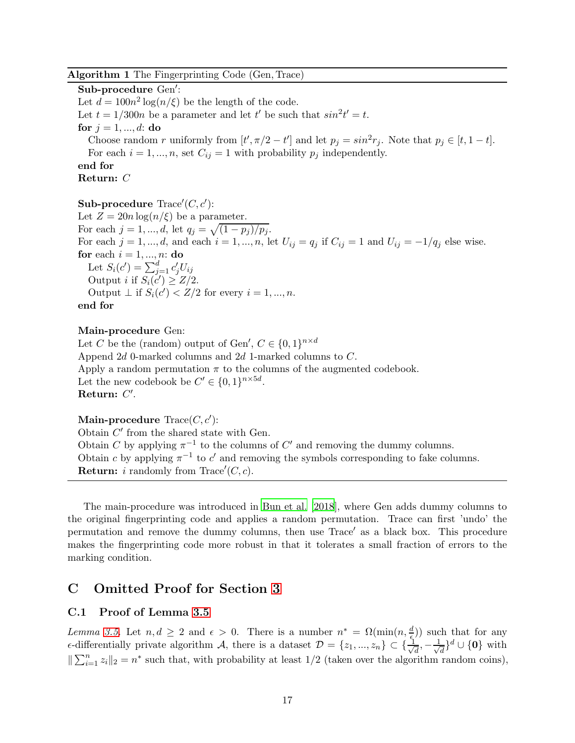### Algorithm 1 The Fingerprinting Code (Gen, Trace)

Sub-procedure Gen′ : Let  $d = 100n^2 \log(n/\xi)$  be the length of the code. Let  $t = 1/300n$  be a parameter and let t' be such that  $sin^2 t' = t$ . for  $j = 1, ..., d$ : do Choose random r uniformly from  $[t', \pi/2 - t']$  and let  $p_j = \sin^2 r_j$ . Note that  $p_j \in [t, 1 - t]$ . For each  $i = 1, ..., n$ , set  $C_{ij} = 1$  with probability  $p_j$  independently. end for Return: C

 ${\bf Sub\text{-}procedure}\,\, {\rm Trace}'(C,c')$ : Let  $Z = 20n \log(n/\xi)$  be a parameter. For each  $j = 1, ..., d$ , let  $q_j = \sqrt{(1 - p_j)/p_j}$ . For each  $j = 1, ..., d$ , and each  $i = 1, ..., n$ , let  $U_{ij} = q_j$  if  $C_{ij} = 1$  and  $U_{ij} = -1/q_j$  else wise. for each  $i = 1, ..., n$ : do Let  $S_i(c') = \sum_{j=1}^d c'_j U_{ij}$ Output *i* if  $S_i(c') \geq Z/2$ . Output  $\perp$  if  $S_i(c') < Z/2$  for every  $i = 1, ..., n$ . end for

### Main-procedure Gen:

Let C be the (random) output of Gen',  $C \in \{0,1\}^{n \times d}$ Append 2d 0-marked columns and 2d 1-marked columns to C. Apply a random permutation  $\pi$  to the columns of the augmented codebook. Let the new codebook be  $C' \in \{0,1\}^{n \times 5d}$ .  $\quad {\bf Return:}\,\,C'.$ 

 $\mathbf{Main\text{-}procedure}\ \mathop{\rm Trace}\nolimits(C,c').$ 

<span id="page-16-0"></span>Obtain  $C'$  from the shared state with Gen. Obtain C by applying  $\pi^{-1}$  to the columns of C' and removing the dummy columns. Obtain c by applying  $\pi^{-1}$  to c' and removing the symbols corresponding to fake columns. **Return:** *i* randomly from Trace' $(C, c)$ .

The main-procedure was introduced in [Bun et al. \[2018](#page-12-10)], where Gen adds dummy columns to the original fingerprinting code and applies a random permutation. Trace can first 'undo' the permutation and remove the dummy columns, then use Trace′ as a black box. This procedure makes the fingerprinting code more robust in that it tolerates a small fraction of errors to the marking condition.

# C Omitted Proof for Section [3](#page-5-0)

### C.1 Proof of Lemma [3.5](#page-7-1)

Lemma [3.5.](#page-7-1) Let  $n, d \geq 2$  and  $\epsilon > 0$ . There is a number  $n^* = \Omega(\min(n, \frac{d}{\epsilon}))$  such that for any  $\epsilon$ -differentially private algorithm A, there is a dataset  $\mathcal{D} = \{z_1, ..., z_n\} \subset \{\frac{1}{\sqrt{n}}\}$  $\frac{1}{d}, -\frac{1}{\sqrt{2}}$  $\frac{1}{d}$ <sup>d</sup> ∪ {**0**} with  $\sum_{i=1}^n z_i \|_2 = n^*$  such that, with probability at least 1/2 (taken over the algorithm random coins),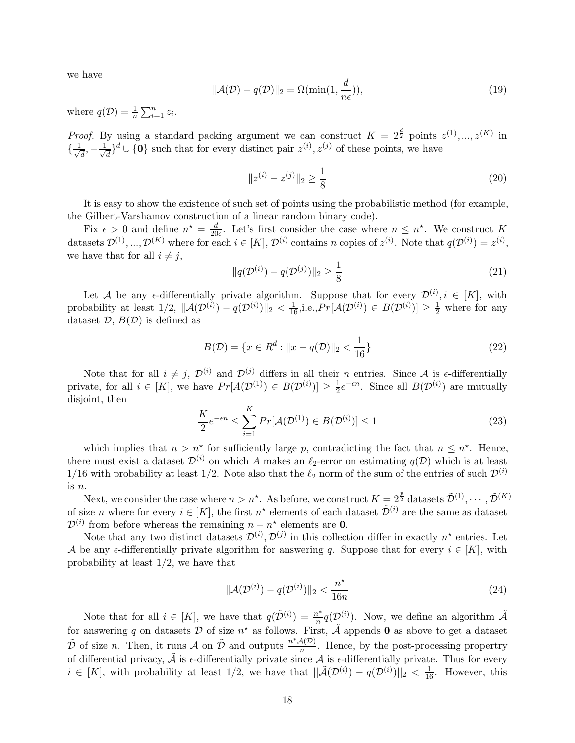we have

$$
\|\mathcal{A}(\mathcal{D}) - q(\mathcal{D})\|_2 = \Omega(\min(1, \frac{d}{n\epsilon})),\tag{19}
$$

where  $q(\mathcal{D}) = \frac{1}{n} \sum_{i=1}^{n} z_i$ .

*Proof.* By using a standard packing argument we can construct  $K = 2^{\frac{d}{2}}$  points  $z^{(1)}, ..., z^{(K)}$  in  $\{\frac{1}{\sqrt{2}}\}$  $\frac{1}{d}$ ,  $-\frac{1}{\sqrt{2}}$  $\frac{1}{d}$ <sup>d</sup> ∪ {0} such that for every distinct pair  $z^{(i)}$ ,  $z^{(j)}$  of these points, we have

$$
||z^{(i)} - z^{(j)}||_2 \ge \frac{1}{8}
$$
 (20)

It is easy to show the existence of such set of points using the probabilistic method (for example, the Gilbert-Varshamov construction of a linear random binary code).

Fix  $\epsilon > 0$  and define  $n^* = \frac{d}{20}$  $\frac{d}{20\epsilon}$ . Let's first consider the case where  $n \leq n^*$ . We construct K datasets  $\mathcal{D}^{(1)},...,\mathcal{D}^{(K)}$  where for each  $i \in [K], \mathcal{D}^{(i)}$  contains n copies of  $z^{(i)}$ . Note that  $q(\mathcal{D}^{(i)}) = z^{(i)}$ , we have that for all  $i \neq j$ ,

$$
||q(\mathcal{D}^{(i)}) - q(\mathcal{D}^{(j)})||_2 \ge \frac{1}{8}
$$
\n(21)

Let A be any  $\epsilon$ -differentially private algorithm. Suppose that for every  $\mathcal{D}^{(i)}$ ,  $i \in [K]$ , with probability at least  $1/2$ ,  $\|\mathcal{A}(\mathcal{D}^{(i)}) - q(\mathcal{D}^{(i)})\|_2 < \frac{1}{16}$ , i.e.,  $Pr[\mathcal{A}(\mathcal{D}^{(i)}) \in B(\mathcal{D}^{(i)})] \geq \frac{1}{2}$  where for any dataset  $D, B(D)$  is defined as

$$
B(\mathcal{D}) = \{x \in R^d : ||x - q(\mathcal{D})||_2 < \frac{1}{16}\}\tag{22}
$$

Note that for all  $i \neq j$ ,  $\mathcal{D}^{(i)}$  and  $\mathcal{D}^{(j)}$  differs in all their n entries. Since A is  $\epsilon$ -differentially private, for all  $i \in [K]$ , we have  $Pr[A(\mathcal{D}^{(1)}) \in B(\mathcal{D}^{(i)})] \geq \frac{1}{2}$  $\frac{1}{2}e^{-\epsilon n}$ . Since all  $B(\mathcal{D}^{(i)})$  are mutually disjoint, then

$$
\frac{K}{2}e^{-\epsilon n} \le \sum_{i=1}^{K} Pr[\mathcal{A}(\mathcal{D}^{(1)}) \in B(\mathcal{D}^{(i)})] \le 1
$$
\n(23)

which implies that  $n > n^*$  for sufficiently large p, contradicting the fact that  $n \leq n^*$ . Hence, there must exist a dataset  $\mathcal{D}^{(i)}$  on which A makes an  $\ell_2$ -error on estimating  $q(\mathcal{D})$  which is at least 1/16 with probability at least 1/2. Note also that the  $\ell_2$  norm of the sum of the entries of such  $\mathcal{D}^{(i)}$ is n.

Next, we consider the case where  $n > n^*$ . As before, we construct  $K = 2^{\frac{p}{2}}$  datasets  $\tilde{\mathcal{D}}^{(1)}, \cdots, \tilde{\mathcal{D}}^{(K)}$ of size *n* where for every  $i \in [K]$ , the first  $n^*$  elements of each dataset  $\tilde{\mathcal{D}}^{(i)}$  are the same as dataset  $\mathcal{D}^{(i)}$  from before whereas the remaining  $n - n^*$  elements are 0.

Note that any two distinct datasets  $\tilde{\mathcal{D}}^{(i)}$ ,  $\tilde{\mathcal{D}}^{(j)}$  in this collection differ in exactly  $n^*$  entries. Let A be any  $\epsilon$ -differentially private algorithm for answering q. Suppose that for every  $i \in [K]$ , with probability at least  $1/2$ , we have that

$$
\|\mathcal{A}(\tilde{\mathcal{D}}^{(i)}) - q(\tilde{\mathcal{D}}^{(i)})\|_2 < \frac{n^\star}{16n} \tag{24}
$$

Note that for all  $i \in [K]$ , we have that  $q(\tilde{\mathcal{D}}^{(i)}) = \frac{n^*}{n}$  $\frac{n^*}{n}q(\mathcal{D}^{(i)})$ . Now, we define an algorithm  $\tilde{\mathcal{A}}$ for answering q on datasets  $\mathcal D$  of size  $n^*$  as follows. First,  $\tilde{\mathcal A}$  appends 0 as above to get a dataset  $\tilde{\mathcal{D}}$  of size n. Then, it runs  $\mathcal{A}$  on  $\tilde{\mathcal{D}}$  and outputs  $\frac{n^*\mathcal{A}(\tilde{\mathcal{D}})}{n}$ . Hence, by the post-processing propertry of differential privacy,  $\tilde{A}$  is  $\epsilon$ -differentially private since  $A$  is  $\epsilon$ -differentially private. Thus for every  $i \in [K]$ , with probability at least  $1/2$ , we have that  $\|\tilde{\mathcal{A}}(\mathcal{D}^{(i)}) - q(\mathcal{D}^{(i)})\|_2 < \frac{1}{16}$ . However, this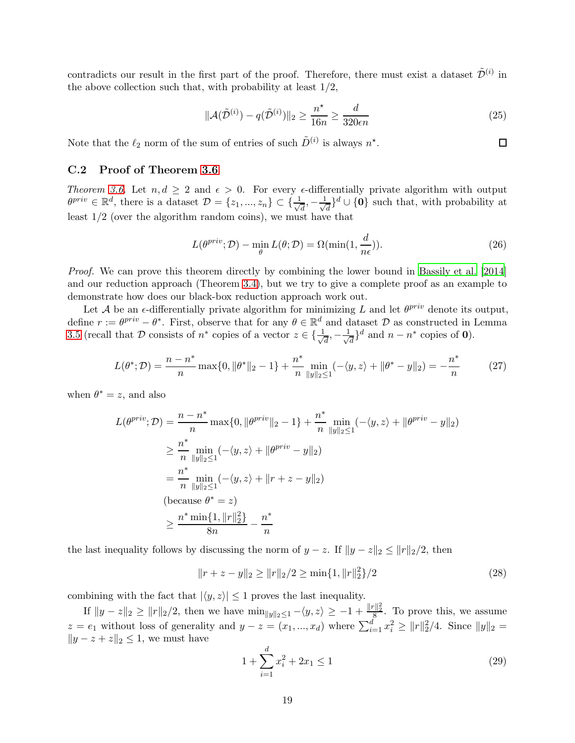contradicts our result in the first part of the proof. Therefore, there must exist a dataset  $\tilde{\mathcal{D}}^{(i)}$  in the above collection such that, with probability at least  $1/2$ ,

$$
\|\mathcal{A}(\tilde{\mathcal{D}}^{(i)}) - q(\tilde{\mathcal{D}}^{(i)})\|_2 \ge \frac{n^{\star}}{16n} \ge \frac{d}{320\epsilon n} \tag{25}
$$

 $\Box$ 

Note that the  $\ell_2$  norm of the sum of entries of such  $\tilde{D}^{(i)}$  is always  $n^*$ .

### C.2 Proof of Theorem [3.6](#page-8-1)

Theorem [3.6.](#page-8-1) Let  $n, d \geq 2$  and  $\epsilon > 0$ . For every  $\epsilon$ -differentially private algorithm with output  $\theta^{priv} \in \mathbb{R}^d$ , there is a dataset  $\mathcal{D} = \{z_1, ..., z_n\} \subset \{\frac{1}{\sqrt{N}}\}$  $\frac{1}{d}$ ,  $-\frac{1}{\sqrt{d}}$  $\frac{1}{d}$ <sup>d</sup> ∪ {**0**} such that, with probability at least 1/2 (over the algorithm random coins), we must have that

$$
L(\theta^{priv}; \mathcal{D}) - \min_{\theta} L(\theta; \mathcal{D}) = \Omega(\min(1, \frac{d}{n\epsilon})).
$$
\n(26)

Proof. We can prove this theorem directly by combining the lower bound in [Bassily et al. \[2014\]](#page-12-2) and our reduction approach (Theorem [3.4\)](#page-6-3), but we try to give a complete proof as an example to demonstrate how does our black-box reduction approach work out.

Let A be an  $\epsilon$ -differentially private algorithm for minimizing L and let  $\theta^{priv}$  denote its output, define  $r := \theta^{priv} - \theta^*$ . First, observe that for any  $\theta \in \mathbb{R}^d$  and dataset  $\mathcal{D}$  as constructed in Lemma [3.5](#page-7-1) (recall that D consists of  $n^*$  copies of a vector  $z \in \{\frac{1}{\sqrt{n}}\}$  $\frac{1}{d}, -\frac{1}{\sqrt{2}}$  $\frac{1}{d}$ <sup>d</sup> and  $n - n^*$  copies of **0**).

$$
L(\theta^*; \mathcal{D}) = \frac{n - n^*}{n} \max\{0, \|\theta^*\|_2 - 1\} + \frac{n^*}{n} \min_{\|y\|_2 \le 1} (-\langle y, z \rangle + \|\theta^* - y\|_2) = -\frac{n^*}{n}
$$
(27)

when  $\theta^* = z$ , and also

$$
L(\theta^{priv}; \mathcal{D}) = \frac{n - n^*}{n} \max\{0, \|\theta^{priv}\|_2 - 1\} + \frac{n^*}{n} \min_{\|y\|_2 \le 1} (-\langle y, z \rangle + \|\theta^{priv} - y\|_2)
$$
  
\n
$$
\ge \frac{n^*}{n} \min_{\|y\|_2 \le 1} (-\langle y, z \rangle + \|\theta^{priv} - y\|_2)
$$
  
\n
$$
= \frac{n^*}{n} \min_{\|y\|_2 \le 1} (-\langle y, z \rangle + \|r + z - y\|_2)
$$
  
\n(because  $\theta^* = z$ )  
\n
$$
\ge \frac{n^* \min\{1, \|r\|_2^2\}}{8n} - \frac{n^*}{n}
$$

the last inequality follows by discussing the norm of  $y - z$ . If  $||y - z||_2 \leq ||r||_2/2$ , then

$$
||r + z - y||_2 \ge ||r||_2 / 2 \ge \min\{1, ||r||_2^2\} / 2
$$
\n(28)

combining with the fact that  $|\langle y, z \rangle| \leq 1$  proves the last inequality.

If  $||y - z||_2 \ge ||r||_2/2$ , then we have  $\min_{||y||_2 \le 1} -\langle y, z \rangle \ge -1 + \frac{||r||_2^2}{8}$ . To prove this, we assume  $z = e_1$  without loss of generality and  $y - z = (x_1, ..., x_d)$  where  $\sum_{i=1}^d x_i^2 \ge ||r||_2^2/4$ . Since  $||y||_2 =$  $||y - z + z||_2 \leq 1$ , we must have

$$
1 + \sum_{i=1}^{d} x_i^2 + 2x_1 \le 1\tag{29}
$$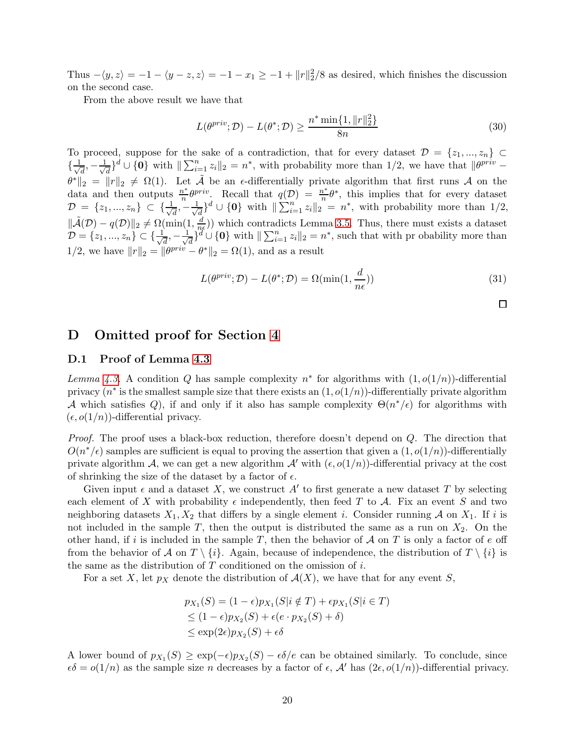Thus  $-\langle y, z \rangle = -1 - \langle y - z, z \rangle = -1 - x_1 \ge -1 + ||r||_2^2/8$  as desired, which finishes the discussion on the second case.

From the above result we have that

$$
L(\theta^{priv}; \mathcal{D}) - L(\theta^*; \mathcal{D}) \ge \frac{n^* \min\{1, \|r\|_2^2\}}{8n}
$$
 (30)

To proceed, suppose for the sake of a contradiction, that for every dataset  $\mathcal{D} = \{z_1, ..., z_n\} \subset$  $\{\frac{1}{\sqrt{2}}\}$  $\frac{1}{d}$ ,  $-\frac{1}{\sqrt{2}}$  $\frac{1}{d}$ <sup>d</sup> ∪ {0} with  $\|\sum_{i=1}^n z_i\|_2 = n^*$ , with probability more than 1/2, we have that  $\|\theta^{priv} - \theta\|_2^2$  $\theta^*\|_2 = \|r\|_2 \neq \Omega(1)$ . Let  $\tilde{A}$  be an  $\epsilon$ -differentially private algorithm that first runs A on the data and then outputs  $\frac{n^*}{n}$  $\frac{n^*}{n} \theta^{priv}$ . Recall that  $q(\mathcal{D}) = \frac{n^*}{n}$  $\frac{\partial^{x}}{\partial n}\theta^{*}$ , this implies that for every dataset  $\mathcal{D} = \{z_1, ..., z_n\} \subset \{\frac{1}{\sqrt{2}}\}$  $\frac{1}{d}$ ,  $-\frac{1}{\sqrt{2}}$  $\frac{1}{d}$ ,<sup>d</sup>  $\cup$  {0} with  $\|\sum_{i=1}^n z_i\|_2^{\infty} = n^*$ , with probability more than 1/2,  $\|\tilde{\mathcal{A}}(\mathcal{D}) - q(\mathcal{D})\|_2 \neq \Omega(\min(1, \frac{d}{n q}))$  $\frac{d}{n\epsilon}$ )) which contradicts Lemma [3.5.](#page-7-1) Thus, there must exists a dataset  $\mathcal{D} = \{z_1, ..., z_n\} \subset \{\frac{1}{\sqrt{2}}\}$  $\frac{1}{d}, -\frac{1}{\sqrt{2}}$  $\frac{1}{d}$   $\int_{0}^{d}$   $\cup$  {0} with  $\|\sum_{i=1}^{n} z_{i}\|_{2} = n^{*}$ , such that with pr obability more than 1/2, we have  $||r||_2 = ||\theta^{priv} - \theta^*||_2 = \Omega(1)$ , and as a result

$$
L(\theta^{priv}; \mathcal{D}) - L(\theta^*; \mathcal{D}) = \Omega(\min(1, \frac{d}{n\epsilon}))
$$
\n(31)

 $\Box$ 

# D Omitted proof for Section [4](#page-8-0)

### D.1 Proof of Lemma [4.3](#page-10-0)

Lemma [4.3.](#page-10-0) A condition Q has sample complexity  $n^*$  for algorithms with  $(1, o(1/n))$ -differential privacy ( $n^*$  is the smallest sample size that there exists an  $(1, o(1/n))$ -differentially private algorithm A which satisfies Q), if and only if it also has sample complexity  $\Theta(n^*/\epsilon)$  for algorithms with  $(\epsilon, o(1/n))$ -differential privacy.

Proof. The proof uses a black-box reduction, therefore doesn't depend on Q. The direction that  $O(n^*/\epsilon)$  samples are sufficient is equal to proving the assertion that given a  $(1, o(1/n))$ -differentially private algorithm A, we can get a new algorithm  $\mathcal A'$  with  $(\epsilon, o(1/n))$ -differential privacy at the cost of shrinking the size of the dataset by a factor of  $\epsilon$ .

Given input  $\epsilon$  and a dataset X, we construct A' to first generate a new dataset T by selecting each element of X with probability  $\epsilon$  independently, then feed T to A. Fix an event S and two neighboring datasets  $X_1, X_2$  that differs by a single element i. Consider running A on  $X_1$ . If i is not included in the sample T, then the output is distributed the same as a run on  $X_2$ . On the other hand, if i is included in the sample T, then the behavior of  $\mathcal A$  on T is only a factor of e off from the behavior of A on  $T \setminus \{i\}$ . Again, because of independence, the distribution of  $T \setminus \{i\}$  is the same as the distribution of  $T$  conditioned on the omission of  $i$ .

For a set X, let  $p<sub>X</sub>$  denote the distribution of  $\mathcal{A}(X)$ , we have that for any event S,

$$
p_{X_1}(S) = (1 - \epsilon)p_{X_1}(S|i \notin T) + \epsilon p_{X_1}(S|i \in T)
$$
  
\n
$$
\leq (1 - \epsilon)p_{X_2}(S) + \epsilon(e \cdot p_{X_2}(S) + \delta)
$$
  
\n
$$
\leq \exp(2\epsilon)p_{X_2}(S) + \epsilon \delta
$$

A lower bound of  $p_{X_1}(S) \ge \exp(-\epsilon)p_{X_2}(S) - \epsilon \delta/e$  can be obtained similarly. To conclude, since  $\epsilon \delta = o(1/n)$  as the sample size n decreases by a factor of  $\epsilon$ ,  $\mathcal{A}'$  has  $(2\epsilon, o(1/n))$ -differential privacy.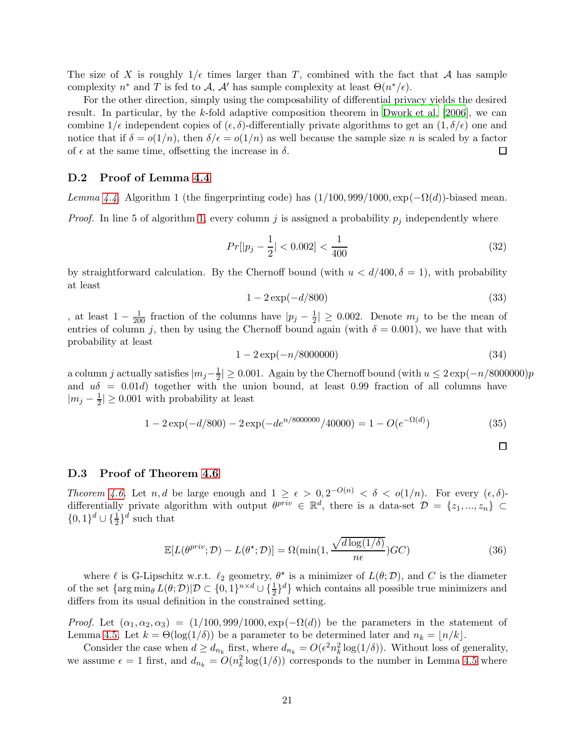The size of X is roughly  $1/\epsilon$  times larger than T, combined with the fact that A has sample complexity  $n^*$  and T is fed to A, A' has sample complexity at least  $\Theta(n^*/\epsilon)$ .

For the other direction, simply using the composability of differential privacy yields the desired result. In particular, by the k-fold adaptive composition theorem in [Dwork et al. \[2006](#page-13-0)], we can combine  $1/\epsilon$  independent copies of  $(\epsilon, \delta)$ -differentially private algorithms to get an  $(1, \delta/\epsilon)$  one and notice that if  $\delta = o(1/n)$ , then  $\delta/\epsilon = o(1/n)$  as well because the sample size n is scaled by a factor of  $\epsilon$  at the same time, offsetting the increase in  $\delta$ . □

### D.2 Proof of Lemma [4.4](#page-10-1)

Lemma [4.4.](#page-10-1) Algorithm 1 (the fingerprinting code) has  $(1/100, 999/1000, \exp(-\Omega(d))$ -biased mean.

*Proof.* In line 5 of algorithm [1,](#page-16-0) every column j is assigned a probability  $p_j$  independently where

$$
Pr[|p_j - \frac{1}{2}| < 0.002] < \frac{1}{400} \tag{32}
$$

by straightforward calculation. By the Chernoff bound (with  $u < d/400, \delta = 1$ ), with probability at least

$$
1 - 2\exp(-d/800)
$$
 (33)

, at least  $1 - \frac{1}{200}$  fraction of the columns have  $|p_j - \frac{1}{200}|$  $\frac{1}{2}$   $\geq$  0.002. Denote  $m_j$  to be the mean of entries of column j, then by using the Chernoff bound again (with  $\delta = 0.001$ ), we have that with probability at least

$$
1 - 2\exp(-n/8000000) \tag{34}
$$

a column j actually satisfies  $|m_j-\frac{1}{2}\rangle$  $\frac{1}{2}$ | ≥ 0.001. Again by the Chernoff bound (with  $u \leq 2 \exp(-n/8000000)p$ and  $u\delta = 0.01d$ ) together with the union bound, at least 0.99 fraction of all columns have  $|m_j-\frac{1}{2}$  $\frac{1}{2}$ |  $\geq 0.001$  with probability at least

$$
1 - 2\exp(-d/800) - 2\exp(-de^{n/8000000}/40000) = 1 - O(e^{-\Omega(d)})
$$
\n(35)

#### D.3 Proof of Theorem [4.6](#page-10-3)

Theorem [4.6.](#page-10-3) Let n, d be large enough and  $1 \geq \epsilon > 0$ ,  $2^{-O(n)} < \delta < o(1/n)$ . For every  $(\epsilon, \delta)$ differentially private algorithm with output  $\theta^{priv} \in \mathbb{R}^d$ , there is a data-set  $\mathcal{D} = \{z_1, ..., z_n\} \subset$  $\{0,1\}^d \cup \{\frac{1}{2}\}^d$  such that

$$
\mathbb{E}[L(\theta^{priv}; \mathcal{D}) - L(\theta^*; \mathcal{D})] = \Omega(\min(1, \frac{\sqrt{d \log(1/\delta)}}{n\epsilon}) \mathcal{G}\mathcal{C})
$$
\n(36)

where  $\ell$  is G-Lipschitz w.r.t.  $\ell_2$  geometry,  $\theta^*$  is a minimizer of  $L(\theta;\mathcal{D})$ , and C is the diameter of the set  $\{\arg\min_{\theta} L(\theta; \mathcal{D}) | \mathcal{D} \subset \{0,1\}^{n \times d} \cup \{\frac{1}{2}\}^d\}$  which contains all possible true minimizers and differs from its usual definition in the constrained setting.

*Proof.* Let  $(\alpha_1, \alpha_2, \alpha_3) = (1/100, 999/1000, \exp(-\Omega(d)))$  be the parameters in the statement of Lemma [4.5.](#page-10-2) Let  $k = \Theta(\log(1/\delta))$  be a parameter to be determined later and  $n_k = \lfloor n/k \rfloor$ .

Consider the case when  $d \geq d_{n_k}$  first, where  $d_{n_k} = O(\epsilon^2 n_k^2 \log(1/\delta))$ . Without loss of generality, we assume  $\epsilon = 1$  first, and  $d_{n_k} = O(n_k^2 \log(1/\delta))$  corresponds to the number in Lemma [4.5](#page-10-2) where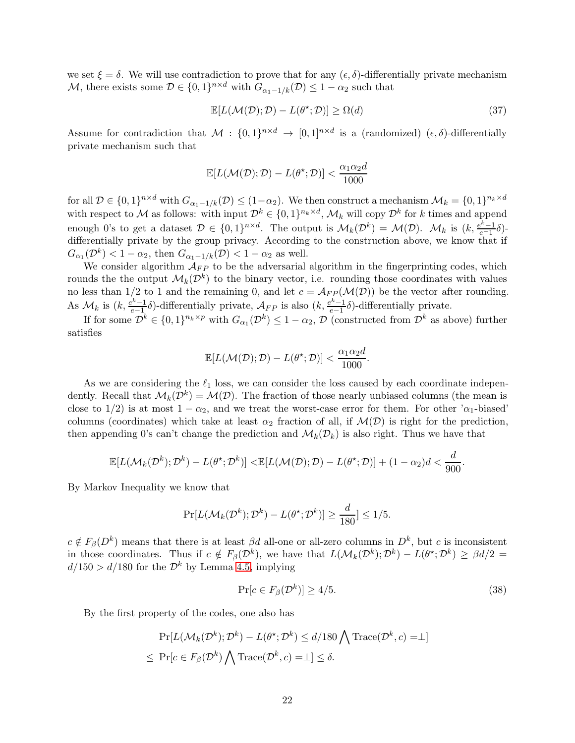we set  $\xi = \delta$ . We will use contradiction to prove that for any  $(\epsilon, \delta)$ -differentially private mechanism M, there exists some  $D \in \{0,1\}^{n \times d}$  with  $G_{\alpha_1-1/k}(D) \leq 1 - \alpha_2$  such that

$$
\mathbb{E}[L(\mathcal{M}(\mathcal{D}); \mathcal{D}) - L(\theta^{\star}; \mathcal{D})] \ge \Omega(d)
$$
\n(37)

Assume for contradiction that  $M: \{0,1\}^{n \times d} \to [0,1]^{n \times d}$  is a (randomized)  $(\epsilon, \delta)$ -differentially private mechanism such that

$$
\mathbb{E}[L(\mathcal{M}(\mathcal{D}); \mathcal{D}) - L(\theta^\star; \mathcal{D})] < \frac{\alpha_1 \alpha_2 d}{1000}
$$

for all  $\mathcal{D} \in \{0,1\}^{n \times d}$  with  $G_{\alpha_1-1/k}(\mathcal{D}) \leq (1-\alpha_2)$ . We then construct a mechanism  $\mathcal{M}_k = \{0,1\}^{n_k \times d}$ with respect to M as follows: with input  $\mathcal{D}^k \in \{0,1\}^{n_k \times d}$ ,  $\mathcal{M}_k$  will copy  $\mathcal{D}^k$  for k times and append enough 0's to get a dataset  $\mathcal{D} \in \{0,1\}^{n \times d}$ . The output is  $\mathcal{M}_k(\mathcal{D}^k) = \mathcal{M}(\mathcal{D})$ .  $\mathcal{M}_k$  is  $(k, \frac{e^k-1}{e^{-1}}\delta)$ differentially private by the group privacy. According to the construction above, we know that if  $G_{\alpha_1}(\mathcal{D}^k) < 1 - \alpha_2$ , then  $G_{\alpha_1-1/k}(\mathcal{D}) < 1 - \alpha_2$  as well.

We consider algorithm  $\mathcal{A}_{FP}$  to be the adversarial algorithm in the fingerprinting codes, which rounds the the output  $\mathcal{M}_k(\mathcal{D}^k)$  to the binary vector, i.e. rounding those coordinates with values no less than 1/2 to 1 and the remaining 0, and let  $c = \mathcal{A}_{FP}(\mathcal{M}(D))$  be the vector after rounding. As  $\mathcal{M}_k$  is  $(k, \frac{e^k-1}{e-1}]$  $\frac{e^{k}-1}{e-1}$ δ)-differentially private,  $\mathcal{A}_{FP}$  is also  $(k, \frac{e^{k}-1}{e-1})$  $\frac{e^{h}-1}{e-1}\delta$ )-differentially private.

If for some  $\mathcal{D}^k \in \{0,1\}^{n_k \times p}$  with  $G_{\alpha_1}(\mathcal{D}^k) \leq 1 - \alpha_2$ ,  $\mathcal{D}$  (constructed from  $\mathcal{D}^k$  as above) further satisfies

$$
\mathbb{E}[L(\mathcal{M}(\mathcal{D}); \mathcal{D}) - L(\theta^{\star}; \mathcal{D})] < \frac{\alpha_1 \alpha_2 d}{1000}.
$$

As we are considering the  $\ell_1$  loss, we can consider the loss caused by each coordinate independently. Recall that  $\mathcal{M}_k(\mathcal{D}^k) = \mathcal{M}(\mathcal{D})$ . The fraction of those nearly unbiased columns (the mean is close to 1/2) is at most  $1 - \alpha_2$ , and we treat the worst-case error for them. For other ' $\alpha_1$ -biased' columns (coordinates) which take at least  $\alpha_2$  fraction of all, if  $\mathcal{M}(\mathcal{D})$  is right for the prediction, then appending 0's can't change the prediction and  $\mathcal{M}_k(\mathcal{D}_k)$  is also right. Thus we have that

$$
\mathbb{E}[L(\mathcal{M}_k(\mathcal{D}^k); \mathcal{D}^k) - L(\theta^{\star}; \mathcal{D}^k)] < \mathbb{E}[L(\mathcal{M}(\mathcal{D}); \mathcal{D}) - L(\theta^{\star}; \mathcal{D})] + (1 - \alpha_2)d < \frac{d}{900}.
$$

By Markov Inequality we know that

$$
\Pr[L(\mathcal{M}_k(\mathcal{D}^k); \mathcal{D}^k) - L(\theta^\star; \mathcal{D}^k)] \ge \frac{d}{180} \le 1/5.
$$

 $c \notin F_{\beta}(D^k)$  means that there is at least  $\beta d$  all-one or all-zero columns in  $D^k$ , but c is inconsistent in those coordinates. Thus if  $c \notin F_\beta(\mathcal{D}^k)$ , we have that  $L(\mathcal{M}_k(\mathcal{D}^k); \mathcal{D}^k) - L(\theta^*; \mathcal{D}^k) \geq \beta d/2 =$  $d/150 > d/180$  for the  $\mathcal{D}^k$  by Lemma [4.5,](#page-10-2) implying

$$
\Pr[c \in F_{\beta}(\mathcal{D}^k)] \ge 4/5. \tag{38}
$$

By the first property of the codes, one also has

$$
\Pr[L(\mathcal{M}_k(\mathcal{D}^k); \mathcal{D}^k) - L(\theta^{\star}; \mathcal{D}^k) \le d/180 \bigwedge \text{Trace}(\mathcal{D}^k, c) = \perp]
$$
  

$$
\le \Pr[c \in F_{\beta}(\mathcal{D}^k) \bigwedge \text{Trace}(\mathcal{D}^k, c) = \perp] \le \delta.
$$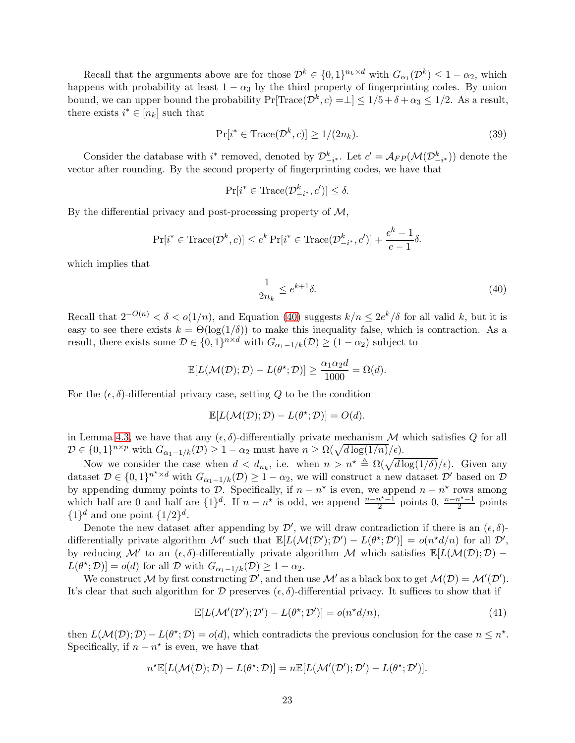Recall that the arguments above are for those  $\mathcal{D}^k \in \{0,1\}^{n_k \times d}$  with  $G_{\alpha_1}(\mathcal{D}^k) \leq 1 - \alpha_2$ , which happens with probability at least  $1 - \alpha_3$  by the third property of fingerprinting codes. By union bound, we can upper bound the probability  $Pr[\text{Trace}(\mathcal{D}^k, c) = \perp] \le 1/5 + \delta + \alpha_3 \le 1/2$ . As a result, there exists  $i^* \in [n_k]$  such that

$$
\Pr[i^* \in \text{Trace}(\mathcal{D}^k, c)] \ge 1/(2n_k). \tag{39}
$$

Consider the database with i<sup>\*</sup> removed, denoted by  $\mathcal{D}_{-i^*}^k$ . Let  $c' = \mathcal{A}_{FP}(\mathcal{M}(\mathcal{D}_{-i^*}^k))$  denote the vector after rounding. By the second property of fingerprinting codes, we have that

$$
\Pr[i^* \in \text{Trace}(\mathcal{D}_{-i^*}^k, c')] \le \delta.
$$

By the differential privacy and post-processing property of  $M$ ,

$$
\Pr[i^* \in \text{Trace}(\mathcal{D}^k, c)] \le e^k \Pr[i^* \in \text{Trace}(\mathcal{D}^k_{-i^*}, c')] + \frac{e^k - 1}{e - 1} \delta.
$$

which implies that

<span id="page-22-0"></span>
$$
\frac{1}{2n_k} \le e^{k+1}\delta. \tag{40}
$$

Recall that  $2^{-O(n)} < \delta < o(1/n)$ , and Equation [\(40\)](#page-22-0) suggests  $k/n \leq 2e^k/\delta$  for all valid k, but it is easy to see there exists  $k = \Theta(\log(1/\delta))$  to make this inequality false, which is contraction. As a result, there exists some  $\mathcal{D} \in \{0,1\}^{n \times d}$  with  $G_{\alpha_1-1/k}(\mathcal{D}) \ge (1-\alpha_2)$  subject to

$$
\mathbb{E}[L(\mathcal{M}(\mathcal{D}); \mathcal{D}) - L(\theta^*; \mathcal{D})] \ge \frac{\alpha_1 \alpha_2 d}{1000} = \Omega(d).
$$

For the  $(\epsilon, \delta)$ -differential privacy case, setting Q to be the condition

$$
\mathbb{E}[L(\mathcal{M}(\mathcal{D}); \mathcal{D}) - L(\theta^{\star}; \mathcal{D})] = O(d).
$$

in Lemma [4.3,](#page-10-0) we have that any  $(\epsilon, \delta)$ -differentially private mechanism M which satisfies Q for all  $\mathcal{D} \in \{0,1\}^{n \times p}$  with  $G_{\alpha_1-1/k}(\mathcal{D}) \geq 1 - \alpha_2$  must have  $n \geq \Omega(\sqrt{d \log(1/n)}/\epsilon)$ .

Now we consider the case when  $d < d_{n_k}$ , i.e. when  $n > n^* \triangleq \Omega(\sqrt{d \log(1/\delta)}/\epsilon)$ . Given any dataset  $\mathcal{D} \in \{0,1\}^{n^* \times d}$  with  $G_{\alpha_1-1/k}(\mathcal{D}) \geq 1-\alpha_2$ , we will construct a new dataset  $\mathcal{D}'$  based on  $\mathcal{D}$ by appending dummy points to  $\mathcal{D}$ . Specifically, if  $n - n^*$  is even, we append  $n - n^*$  rows among which half are 0 and half are  $\{1\}^d$ . If  $n - n^*$  is odd, we append  $\frac{n - n^* - 1}{2}$  points 0,  $\frac{n - n^* - 1}{2}$  points  $\{1\}^d$  and one point  $\{1/2\}^d$ .

Denote the new dataset after appending by  $\mathcal{D}'$ , we will draw contradiction if there is an  $(\epsilon, \delta)$ differentially private algorithm  $\mathcal{M}'$  such that  $\mathbb{E}[L(\mathcal{M}(\mathcal{D}'); \mathcal{D}') - L(\theta^*; \mathcal{D}')] = o(n^*d/n)$  for all  $\mathcal{D}',$ by reducing  $\mathcal{M}'$  to an  $(\epsilon, \delta)$ -differentially private algorithm M which satisfies  $\mathbb{E}[L(\mathcal{M}(\mathcal{D}); \mathcal{D})$  –  $L(\theta^*, \mathcal{D})] = o(d)$  for all  $\mathcal{D}$  with  $G_{\alpha_1-1/k}(\mathcal{D}) \geq 1 - \alpha_2$ .

We construct M by first constructing  $\mathcal{D}'$ , and then use M' as a black box to get  $\mathcal{M}(\mathcal{D}) = \mathcal{M}'(\mathcal{D}')$ . It's clear that such algorithm for D preserves  $(\epsilon, \delta)$ -differential privacy. It suffices to show that if

$$
\mathbb{E}[L(\mathcal{M}'(\mathcal{D}'); \mathcal{D}') - L(\theta^*; \mathcal{D}')] = o(n^*d/n),\tag{41}
$$

then  $L(\mathcal{M}(\mathcal{D}); \mathcal{D}) - L(\theta^*; \mathcal{D}) = o(d)$ , which contradicts the previous conclusion for the case  $n \leq n^*$ . Specifically, if  $n - n^*$  is even, we have that

$$
n^{\star}\mathbb{E}[L(\mathcal{M}(\mathcal{D}); \mathcal{D}) - L(\theta^{\star}; \mathcal{D})] = n\mathbb{E}[L(\mathcal{M}'(\mathcal{D}'); \mathcal{D}') - L(\theta^{\star}; \mathcal{D}')].
$$